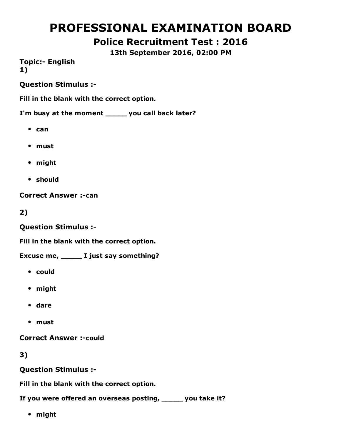# PROFESSIONAL EXAMINATION BOARD

## Police Recruitment Test : 2016

13th September 2016, 02:00 PM

**Topic:- English** 1)

Question Stimulus :

Fill in the blank with the correct option.

I'm busy at the moment \_\_\_\_\_ you call back later?

- $•$  can
- must
- might
- should

**Correct Answer :- can** 

2)

Question Stimulus :

Fill in the blank with the correct option.

Excuse me, \_\_\_\_\_ I just say something?

- could
- might
- dare
- must

**Correct Answer :- could** 

3)

Question Stimulus :

Fill in the blank with the correct option.

If you were offered an overseas posting, \_\_\_\_\_ you take it?

might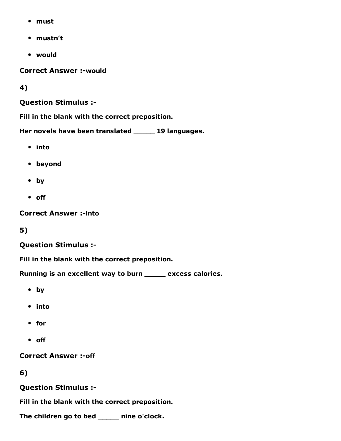- must
- mustn't
- would

**Correct Answer :- would** 

4)

Question Stimulus :

Fill in the blank with the correct preposition.

Her novels have been translated \_\_\_\_\_ 19 languages.

- into
- beyond
- by
- off

**Correct Answer :- into** 

5)

#### Question Stimulus :

Fill in the blank with the correct preposition.

Running is an excellent way to burn \_\_\_\_\_ excess calories.

- by
- into
- for
- off

**Correct Answer :- off** 

6)

Question Stimulus :

Fill in the blank with the correct preposition.

The children go to bed \_\_\_\_\_ nine o'clock.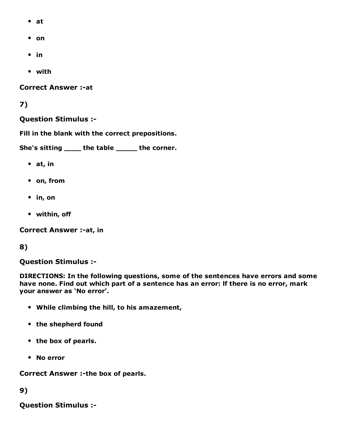- at
- on
- $\cdot$  in
- with

**Correct Answer :- at** 

#### 7)

#### Question Stimulus :

Fill in the blank with the correct prepositions.

She's sitting \_\_\_\_ the table \_\_\_\_\_ the corner.

- at, in
- on, from
- in, on
- within, off

Correct Answer :- at, in

#### 8)

Question Stimulus :

DIRECTIONS: In the following questions, some of the sentences have errors and some have none. Find out which part of a sentence has an error: lf there is no error, mark your answer as 'No error'.

- While climbing the hill, to his amazement,
- the shepherd found
- the box of pearls.
- No error

Correct Answer :- the box of pearls.

9)

Question Stimulus :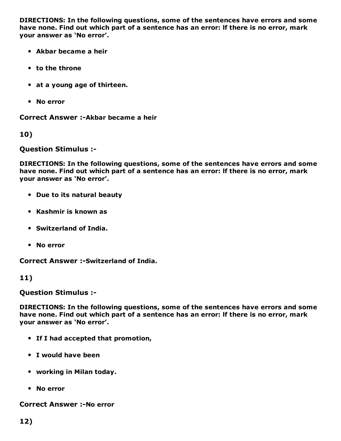DIRECTIONS: In the following questions, some of the sentences have errors and some have none. Find out which part of a sentence has an error: lf there is no error, mark your answer as 'No error'.

- Akbar became a heir
- to the throne
- at a young age of thirteen.
- No error

Correct Answer :-Akbar became a heir

10)

Question Stimulus :

DIRECTIONS: In the following questions, some of the sentences have errors and some have none. Find out which part of a sentence has an error: lf there is no error, mark your answer as 'No error'.

- Due to its natural beauty
- Kashmir is known as
- Switzerland of India.
- No error

**Correct Answer :- Switzerland of India.** 

#### 11)

Question Stimulus :

DIRECTIONS: In the following questions, some of the sentences have errors and some have none. Find out which part of a sentence has an error: lf there is no error, mark your answer as 'No error'.

- If I had accepted that promotion,
- I would have been
- working in Milan today.
- No error

**Correct Answer :-No error**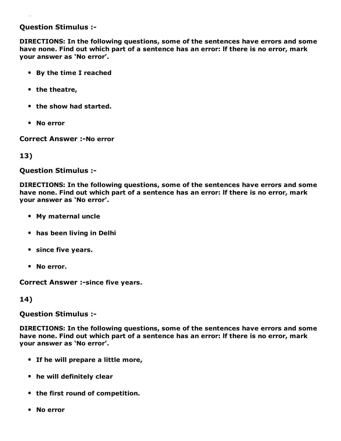#### Question Stimulus :

DIRECTIONS: In the following questions, some of the sentences have errors and some have none. Find out which part of a sentence has an error: lf there is no error, mark your answer as 'No error'.

- By the time I reached
- the theatre,
- the show had started.
- No error

**Correct Answer :-No error** 

#### 13)

Question Stimulus :

DIRECTIONS: In the following questions, some of the sentences have errors and some have none. Find out which part of a sentence has an error: lf there is no error, mark your answer as 'No error'.

- My maternal uncle
- has been living in Delhi
- since five years.
- No error.

Correct Answer :- since five years.

14)

Question Stimulus :

DIRECTIONS: In the following questions, some of the sentences have errors and some have none. Find out which part of a sentence has an error: lf there is no error, mark your answer as 'No error'.

- If he will prepare a little more,
- he will definitely clear
- the first round of competition.
- No error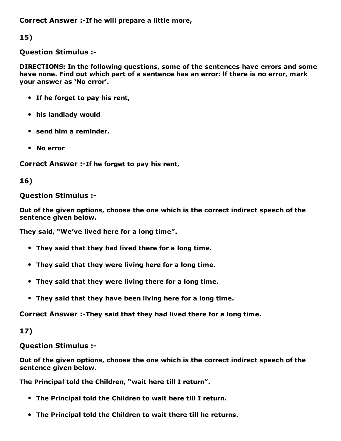Correct Answer :-If he will prepare a little more,

15)

Question Stimulus :

DIRECTIONS: In the following questions, some of the sentences have errors and some have none. Find out which part of a sentence has an error: lf there is no error, mark your answer as 'No error'.

- If he forget to pay his rent,
- his landlady would
- send him a reminder.
- No error

Correct Answer :-If he forget to pay his rent,

16)

### Question Stimulus :

Out of the given options, choose the one which is the correct indirect speech of the sentence given below.

They said, "We've lived here for a long time".

- They said that they had lived there for a long time.
- They said that they were living here for a long time.
- They said that they were living there for a long time.
- They said that they have been living here for a long time.

Correct Answer :-They said that they had lived there for a long time.

17)

Question Stimulus :

Out of the given options, choose the one which is the correct indirect speech of the sentence given below.

The Principal told the Children, "wait here till I return".

- The Principal told the Children to wait here till I return.
- The Principal told the Children to wait there till he returns.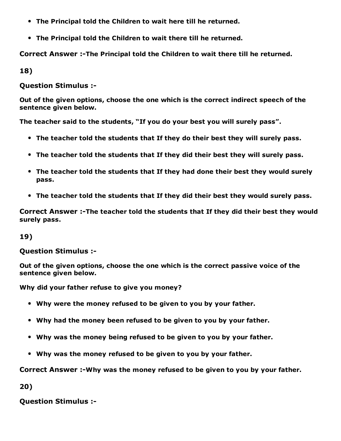- The Principal told the Children to wait here till he returned.
- The Principal told the Children to wait there till he returned.

Correct Answer :-The Principal told the Children to wait there till he returned.

18)

Question Stimulus :

Out of the given options, choose the one which is the correct indirect speech of the sentence given below.

The teacher said to the students, "If you do your best you will surely pass".

- The teacher told the students that If they do their best they will surely pass.
- The teacher told the students that If they did their best they will surely pass.
- The teacher told the students that If they had done their best they would surely pass.
- The teacher told the students that If they did their best they would surely pass.

Correct Answer :-The teacher told the students that If they did their best they would surely pass.

#### 19)

#### Question Stimulus :

Out of the given options, choose the one which is the correct passive voice of the sentence given below.

Why did your father refuse to give you money?

- Why were the money refused to be given to you by your father.
- Why had the money been refused to be given to you by your father.
- Why was the money being refused to be given to you by your father.
- Why was the money refused to be given to you by your father.

Correct Answer :-Why was the money refused to be given to you by your father.

20)

Question Stimulus :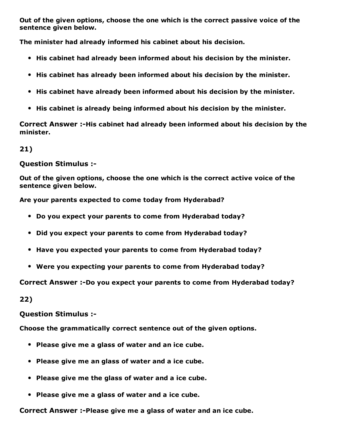Out of the given options, choose the one which is the correct passive voice of the sentence given below.

The minister had already informed his cabinet about his decision.

- His cabinet had already been informed about his decision by the minister.
- His cabinet has already been informed about his decision by the minister.
- His cabinet have already been informed about his decision by the minister.
- His cabinet is already being informed about his decision by the minister.

Correct Answer :-His cabinet had already been informed about his decision by the minister.

21)

#### Question Stimulus :

Out of the given options, choose the one which is the correct active voice of the sentence given below.

Are your parents expected to come today from Hyderabad?

- Do you expect your parents to come from Hyderabad today?
- Did you expect your parents to come from Hyderabad today?
- Have you expected your parents to come from Hyderabad today?
- Were you expecting your parents to come from Hyderabad today?

Correct Answer :-Do you expect your parents to come from Hyderabad today?

22)

Question Stimulus :

Choose the grammatically correct sentence out of the given options.

- Please give me a glass of water and an ice cube.
- Please give me an glass of water and a ice cube.
- Please give me the glass of water and a ice cube.
- Please give me a glass of water and a ice cube.

Correct Answer :-Please give me a glass of water and an ice cube.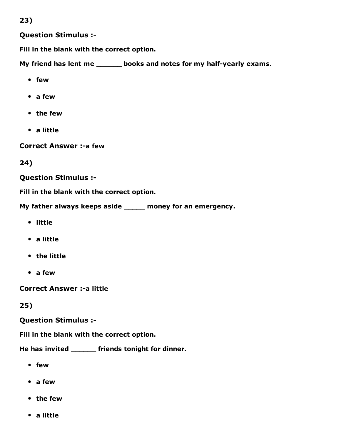23)

Question Stimulus :

Fill in the blank with the correct option.

My friend has lent me \_\_\_\_\_\_ books and notes for my half-yearly exams.

- few
- a few
- the few
- a little

**Correct Answer :- a few** 

24)

#### Question Stimulus :

Fill in the blank with the correct option.

My father always keeps aside \_\_\_\_\_ money for an emergency.

- little
- a little
- the little
- a few

**Correct Answer :- a little** 

25)

#### Question Stimulus :

Fill in the blank with the correct option.

He has invited \_\_\_\_\_\_ friends tonight for dinner.

- few
- a few
- the few
- a little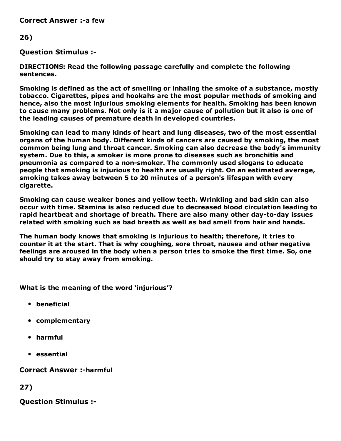**Correct Answer :-a few** 

#### 26)

Question Stimulus :

DIRECTIONS: Read the following passage carefully and complete the following sentences.

Smoking is defined as the act of smelling or inhaling the smoke of a substance, mostly tobacco. Cigarettes, pipes and hookahs are the most popular methods of smoking and hence, also the most injurious smoking elements for health. Smoking has been known to cause many problems. Not only is it a major cause of pollution but it also is one of the leading causes of premature death in developed countries.

Smoking can lead to many kinds of heart and lung diseases, two of the most essential organs of the human body. Different kinds of cancers are caused by smoking, the most common being lung and throat cancer. Smoking can also decrease the body's immunity system. Due to this, a smoker is more prone to diseases such as bronchitis and pneumonia as compared to a non-smoker. The commonly used slogans to educate people that smoking is injurious to health are usually right. On an estimated average, smoking takes away between 5 to 20 minutes of a person's lifespan with every cigarette.

Smoking can cause weaker bones and yellow teeth. Wrinkling and bad skin can also occur with time. Stamina is also reduced due to decreased blood circulation leading to rapid heartbeat and shortage of breath. There are also many other day-to-day issues related with smoking such as bad breath as well as bad smell from hair and hands.

The human body knows that smoking is injurious to health; therefore, it tries to counter it at the start. That is why coughing, sore throat, nausea and other negative feelings are aroused in the body when a person tries to smoke the first time. So, one should try to stay away from smoking.

What is the meaning of the word 'injurious'?

- beneficial
- complementary
- harmful
- essential

**Correct Answer :-harmful** 

27)

Question Stimulus :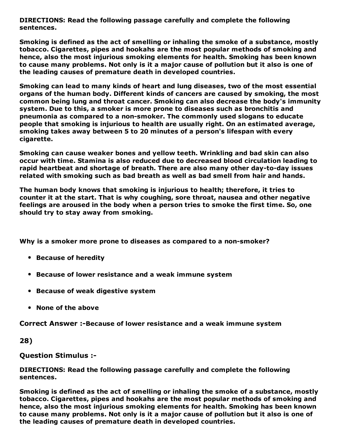DIRECTIONS: Read the following passage carefully and complete the following sentences.

Smoking is defined as the act of smelling or inhaling the smoke of a substance, mostly tobacco. Cigarettes, pipes and hookahs are the most popular methods of smoking and hence, also the most injurious smoking elements for health. Smoking has been known to cause many problems. Not only is it a major cause of pollution but it also is one of the leading causes of premature death in developed countries.

Smoking can lead to many kinds of heart and lung diseases, two of the most essential organs of the human body. Different kinds of cancers are caused by smoking, the most common being lung and throat cancer. Smoking can also decrease the body's immunity system. Due to this, a smoker is more prone to diseases such as bronchitis and pneumonia as compared to a non-smoker. The commonly used slogans to educate people that smoking is injurious to health are usually right. On an estimated average, smoking takes away between 5 to 20 minutes of a person's lifespan with every cigarette.

Smoking can cause weaker bones and yellow teeth. Wrinkling and bad skin can also occur with time. Stamina is also reduced due to decreased blood circulation leading to rapid heartbeat and shortage of breath. There are also many other day-to-day issues related with smoking such as bad breath as well as bad smell from hair and hands.

The human body knows that smoking is injurious to health; therefore, it tries to counter it at the start. That is why coughing, sore throat, nausea and other negative feelings are aroused in the body when a person tries to smoke the first time. So, one should try to stay away from smoking.

Why is a smoker more prone to diseases as compared to a non-smoker?

- Because of heredity
- Because of lower resistance and a weak immune system
- Because of weak digestive system
- None of the above

Correct Answer :-Because of lower resistance and a weak immune system

28)

Question Stimulus :

DIRECTIONS: Read the following passage carefully and complete the following sentences.

Smoking is defined as the act of smelling or inhaling the smoke of a substance, mostly tobacco. Cigarettes, pipes and hookahs are the most popular methods of smoking and hence, also the most injurious smoking elements for health. Smoking has been known to cause many problems. Not only is it a major cause of pollution but it also is one of the leading causes of premature death in developed countries.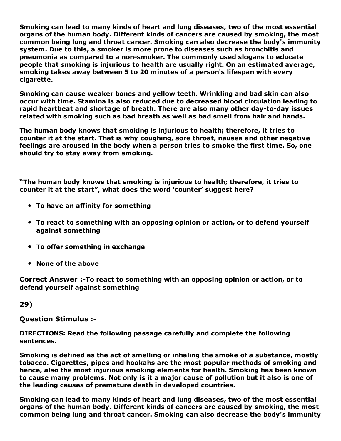Smoking can lead to many kinds of heart and lung diseases, two of the most essential organs of the human body. Different kinds of cancers are caused by smoking, the most common being lung and throat cancer. Smoking can also decrease the body's immunity system. Due to this, a smoker is more prone to diseases such as bronchitis and pneumonia as compared to a non-smoker. The commonly used slogans to educate people that smoking is injurious to health are usually right. On an estimated average, smoking takes away between 5 to 20 minutes of a person's lifespan with every cigarette.

Smoking can cause weaker bones and yellow teeth. Wrinkling and bad skin can also occur with time. Stamina is also reduced due to decreased blood circulation leading to rapid heartbeat and shortage of breath. There are also many other day-to-day issues related with smoking such as bad breath as well as bad smell from hair and hands.

The human body knows that smoking is injurious to health; therefore, it tries to counter it at the start. That is why coughing, sore throat, nausea and other negative feelings are aroused in the body when a person tries to smoke the first time. So, one should try to stay away from smoking.

"The human body knows that smoking is injurious to health; therefore, it tries to counter it at the start", what does the word 'counter' suggest here?

- To have an affinity for something
- To react to something with an opposing opinion or action, or to defend yourself against something
- To offer something in exchange
- None of the above

Correct Answer :-To react to something with an opposing opinion or action, or to defend yourself against something

29)

Question Stimulus :

DIRECTIONS: Read the following passage carefully and complete the following sentences.

Smoking is defined as the act of smelling or inhaling the smoke of a substance, mostly tobacco. Cigarettes, pipes and hookahs are the most popular methods of smoking and hence, also the most injurious smoking elements for health. Smoking has been known to cause many problems. Not only is it a major cause of pollution but it also is one of the leading causes of premature death in developed countries.

Smoking can lead to many kinds of heart and lung diseases, two of the most essential organs of the human body. Different kinds of cancers are caused by smoking, the most common being lung and throat cancer. Smoking can also decrease the body's immunity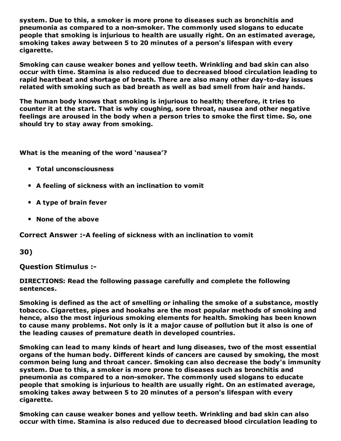system. Due to this, a smoker is more prone to diseases such as bronchitis and pneumonia as compared to a non-smoker. The commonly used slogans to educate people that smoking is injurious to health are usually right. On an estimated average, smoking takes away between 5 to 20 minutes of a person's lifespan with every cigarette.

Smoking can cause weaker bones and yellow teeth. Wrinkling and bad skin can also occur with time. Stamina is also reduced due to decreased blood circulation leading to rapid heartbeat and shortage of breath. There are also many other day-to-day issues related with smoking such as bad breath as well as bad smell from hair and hands.

The human body knows that smoking is injurious to health; therefore, it tries to counter it at the start. That is why coughing, sore throat, nausea and other negative feelings are aroused in the body when a person tries to smoke the first time. So, one should try to stay away from smoking.

What is the meaning of the word 'nausea'?

- Total unconsciousness
- A feeling of sickness with an inclination to vomit
- A type of brain fever
- None of the above

Correct Answer :- A feeling of sickness with an inclination to vomit

30)

Question Stimulus :

#### DIRECTIONS: Read the following passage carefully and complete the following sentences.

Smoking is defined as the act of smelling or inhaling the smoke of a substance, mostly tobacco. Cigarettes, pipes and hookahs are the most popular methods of smoking and hence, also the most injurious smoking elements for health. Smoking has been known to cause many problems. Not only is it a major cause of pollution but it also is one of the leading causes of premature death in developed countries.

Smoking can lead to many kinds of heart and lung diseases, two of the most essential organs of the human body. Different kinds of cancers are caused by smoking, the most common being lung and throat cancer. Smoking can also decrease the body's immunity system. Due to this, a smoker is more prone to diseases such as bronchitis and pneumonia as compared to a non-smoker. The commonly used slogans to educate people that smoking is injurious to health are usually right. On an estimated average, smoking takes away between 5 to 20 minutes of a person's lifespan with every cigarette.

Smoking can cause weaker bones and yellow teeth. Wrinkling and bad skin can also occur with time. Stamina is also reduced due to decreased blood circulation leading to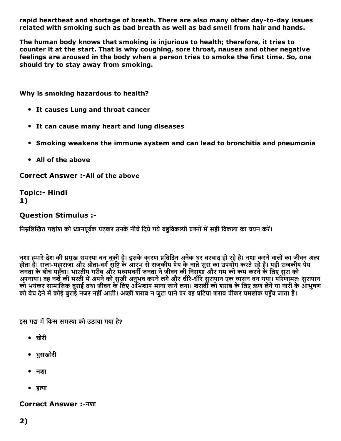rapid heartbeat and shortage of breath. There are also many other day-to-day issues related with smoking such as bad breath as well as bad smell from hair and hands.

The human body knows that smoking is injurious to health; therefore, it tries to counter it at the start. That is why coughing, sore throat, nausea and other negative feelings are aroused in the body when a person tries to smoke the first time. So, one should try to stay away from smoking.

Why is smoking hazardous to health?

- It causes Lung and throat cancer
- It can cause many heart and lung diseases
- Smoking weakens the immune system and can lead to bronchitis and pneumonia
- All of the above

Correct Answer :- All of the above

**Topic:- Hindi** 1)

#### Question Stimulus :

निम्रलिखित गद्यांश को ध्यानपर्वक पढ़कर उनके नीचे दिये गये बहविकल्पी प्रश्नों में सही विकल्प का चयन करें।

नशा हमारे देश की प्रमुख समस्या बन चुकी है। इसके कारण प्रतिदिन अनेक घर बरबाद हो रहे हैं। नशा करने वालों का जीवन अल्प होता है। राजा-महाराजा और श्रोता-वर्ग सृष्टि के आरंभ से राजकीय पेय के नाते सुरा का उपयोग करते रहे हैं। यही राजकीय पेय जनता के बीच पहुँचा। भारतीय गरीब और मध्यमवर्गी जनता ने जीवन की निराशा और गम को कम करने के लिए सुरा को अपनाया। वह नशेँ की मस्ती में अपने को सुखी अनुभव करने लगे और धीरे-धीरे सुरापान एक व्यसन बन गया। परिणामतः सुरापान को भयंकर सामाजिक बुराई तथा जीवन के लिए अभिशाप माना जाने लगा। शराबी को शराब के लिए ऋण लेने या नारी के आभूषण को बेच देने में कोई बुराई नजर नहीं आती। अच्छी शराब न जुटा पाने पर वह घटिया शराब पीकर यमलोक पहुँच जाता है।

इस गद्य में किस समस्या को उठाया गया है?

- चोरी
- घुसखोरी
- नशा
- हत्या

#### Correct Answer :नशा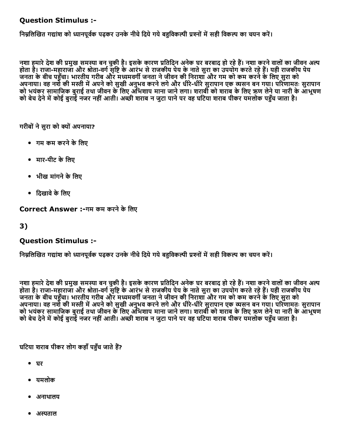#### Question Stimulus :

निम्नलिखित गद्यांश को ध्यानपूर्वक पढ़कर उनके नीचे दिये गये बहविकल्पी प्रश्नों में सही विकल्प का चयन करें।

नशा हमारे देश की प्रमुख समस्या बन चुकी है। इसके कारण प्रतिदिन अनेक घर बरबाद हो रहे हैं। नशा करने वालों का जीवन अल्प होता है। राजा-महाराजा और श्रोता-वर्ग सृष्टि के आरंभ से राजकीय पेय के नाते सुरा का उपयोग करते रहे हैं। यही राजकीय पेय ्ला देखा गया। भारतीय गरीब और मध्यमवर्गी जनता ने जीवन की निराशा और गम को कम करने के लिए सुरा को अपनाया। वह नशेँ की मस्ती में अपने को सुखी अनुभव करने लगे और धीरे-धीरे सुरापान एक व्यसन बन गया। परिणामतः सुरापान को भयंकर सामाजिक बुराई तथा जीवन के लिए अभिशाप माना जाने लगा। शराबी को शराब के लिए ऋण लेने या नारी के आभूषण को बेच देने में कोई बुराई नजर नहीं आती। अच्छी शराब न जुटा पाने पर वह घटिया शराब पीकर यमलोक पहुँच जाता है।

गरीबों ने सुरा को क्यों अपनाया?

- गम कम करनेकेिलए
- मार-पीट के लिए
- भीख मांगने के लिए
- दिखावे के लिए

Correct Answer :-गम कम करने के लिए

#### 3)

#### Question Stimulus :

निम्नलिखित गद्यांश को ध्यानपूर्वक पढ़कर उनके नीचे दिये गये बहुविकल्पी प्रश्नों में सही विकल्प का चयन करें।

नशा हमारे देश की प्रमुख समस्या बन चुकी है। इसके कारण प्रतिदिन अनेक घर बरबाद हो रहे हैं। नशा करने वालों का जीवन अल्प होता है। राजा-महाराजा और श्रीता-वर्ग सृष्टि के आरंभ से राजकीय पेय के नाते सुरा का उपयोग करते रहे हैं। यही राजकीय पेय जनता के बीच पहुँचा। भारतीय गरीब और मध्यमवर्गी जनता ने जीवन की निराशा और गम को कम करने के लिए सुरा को अपनाया। वह नशेँ की मस्ती में अपने को सुखी अनुभव करने लगे और धीरे-धीरे सुरापान एक व्यसन बन गया। परिणामतः सुरापान को भयंकर सामाजिक बुराई तथा जीवन के लिए अभिशाप माना जाने लगा। शराबी को शराब के लिए ऋण लेने या नारी के आभूषण को बेच देने में कोई बुराई नजर नहीं आती। अच्छी शराब न जुटा पाने पर वह घटिया शराब पीकर यमलोक पहुँच जाता है।

घटिया शराब पीकर लोग कहाँ पहुँच जाते हैं?

- घर
- यमलोक
- अनाथालय
- अस्पताल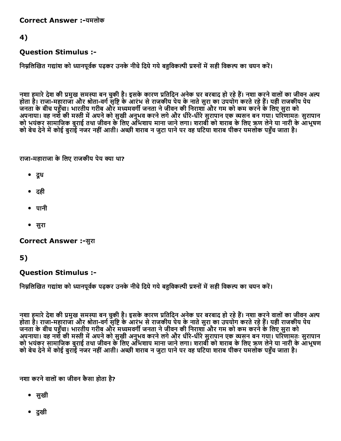Correct Answer :-यमलोक

#### 4)

#### Question Stimulus :

निम्नलिखित गद्यांश को ध्यानपूर्वक पढ़कर उनके नीचे दिये गये बहुविकल्पी प्रश्नों में सही विकल्प का चयन करें।

नशा हमारे देश की प्रमुख समस्या बन चुकी है। इसके कारण प्रतिदिन अनेक घर बरबाद हो रहे हैं। नशा करने वालों का जीवन अल्प होता है। राजा-महाराजा और श्रीता-वर्ग सृष्टि के आरंभ से राजकीय पेय के नाते सुरा का उपयोग करते रहे हैं। यही राजकीय पेय जनता के बीच पहुँचा। भारतीय गरीब और मध्यमवर्गी जनता ने जीवन की निराशा और गम को कम करने के लिए सुरा को अपनाया। वह नशे की मस्ती में अपने को सुखी अनुभव करने लगे और धीरे-धीरे सुरापान एक व्यसन बन गया। परिणामतः सुरापान को भयंकर सामाजिक बुराई तथा जीवन के लिए अभिशाप माना जाने लगा। शराबी को शराब के लिए ऋण लेने या नारी के आभूषण को बेच देने में कोई बुराई नजर नहीं आती। अच्छी शराब न जुटा पाने पर वह घटिया शराब पीकर यमलोक पहुँच जाता है।

राजा-महाराजा के लिए राजकीय पेय क्या था?

- दूध
- दही
- पानी
- सुरा

Correct Answer :-सुरा

### 5)

Question Stimulus :

निम्नलिखित गद्यांश को ध्यानपूर्वक पढ़कर उनके नीचे दिये गये बहविकल्पी प्रश्नों में सही विकल्प का चयन करें।

नशा हमारे देश की प्रमुख समस्या बन चुकी है। इसके कारण प्रतिदिन अनेक घर बरबाद हो रहे हैं। नशा करने वालों का जीवन अल्प होता है। राजा-महाराजा और श्रोता-वर्ग सृष्टि के आरंभ से राजकीय पेय के नाते सुरा का उपयोग करते रहे हैं। यही राजकीय पेय जनता के बीच पहुँचा। भारतीय गरीब और मध्यमवर्गी जनता ने जीवन की निराशा और गम को कम करने के लिए सुरा को अपनाया। वह नशे की मस्ती में अपने को सुखी अनुभव करने लगे और धीरे-धीरे सुरापान एक व्यसन बन गया। परिणामतः सुरापान को भयंकर सामाजिक बुराई तथा जीवन के लिए अभिशाप माना जाने लगा। शराबी को शराब के लिए ऋण लेने या नारी के आभूषण को बेच देने में कोई बुराई नजर नहीं आती। अच्छी शराब न जुटा पाने पर वह घटिया शराब पीकर यमलोक पहुँच जाता है।

नशा करनेवालोंका जीवन कैसा होता है?

- सुखी
- दुखी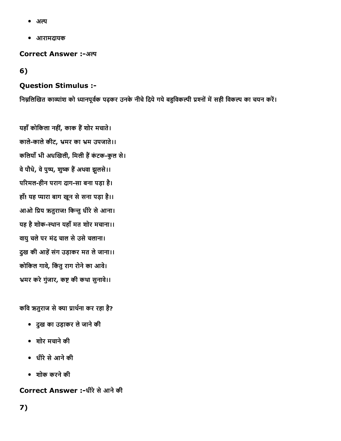- अल्प  $\bullet$
- आरामदायक

Correct Answer :-अल्प

6)

### Question Stimulus :

निम्नलिखित काव्यांश को ध्यानपूर्वक पढ़कर उनके नीचे दिये गये बहुविकल्पी प्रश्नों में सही विकल्प का चयन करें।

यहाँ कोकिला नहीं, काक हैं शोर मचाते। काले-काले कीट, भ्रमर का भ्रम उपजाते।। कलियाँ भी अधखिली, मिली हैं कंटक-कुल से। वे पौधे, वे पुष्प, शुष्क हैं अथवा झुलसे।। परिमल-हीन पराग दाग-सा बना पड़ा है। हाँ! यह प्यारा बाग खून से सना पड़ा है।। आओ प्रिय ऋतुराज! किन्तु धीरे से आना। यह है शोक-स्थान यहाँ मत शोर मचाना।। वायुचलेपर मंद चाल सेउसेचलाना। दुख की आहें संग उड़ाकर मत ले जाना।। कोकिल गावे, किंतु राग रोने का आवे। भ्रमर करे गुंजार, कष्ट की कथा सुनावे।।

कवि ऋतुराज से क्या प्रार्थना कर रहा है?

- दुख का उड़ाकर लेजानेकी
- शोर मचानेकी
- धीरेसेआनेकी
- शोक करनेकी

Correct Answer :-धीरे से आने की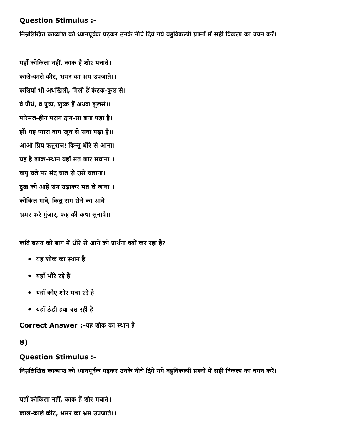#### Question Stimulus :

निम्नलिखित काव्यांश को ध्यानपूर्वक पढ़कर उनके नीचे दिये गये बहुविकल्पी प्रश्नों में सही विकल्प का चयन करें।

यहाँ कोकिला नहीं, काक हैं शोर मचाते। काले-काले कीट, भ्रमर का भ्रम उपजाते।। कलियाँ भी अधखिली, मिली हैं कंटक-कुल से। वे पौधे, वे पुष्प, शुष्क हैं अथवा झुलसे।। परिमल-हीन पराग दाग-सा बना पड़ा है। हाँ! यह प्यारा बाग खुन से सना पड़ा है।। आओ प्रिय ऋतुराज! किन्तु धीरे से आना। यह है शोक-स्थान यहाँ मत शोर मचाना।। वायुचलेपर मंद चाल सेउसेचलाना। दुख की आहें संग उड़ाकर मत ले जाना।। कोकिल गावे, किंतु राग रोने का आवे। भ्रमर करे गुंजार, कष्ट की कथा सुनावे।।

कवि बसंत को बाग में धीरे से आने की प्रार्थना क्यों कर रहा है?

- यह शोक का थान है
- यहाँ भौरे रहे हैं
- यहाँ कौए शोर मचा रहे हैं
- यहाँठंडी हवा चल रही है

Correct Answer :-यह शोक का स्थान है

#### 8)

#### Question Stimulus :

निम्नलिखित काव्यांश को ध्यानपूर्वक पढ़कर उनके नीचे दिये गये बहुविकल्पी प्रश्नों में सही विकल्प का चयन करें।

यहाँ कोकिला नहीं, काक हैं शोर मचाते। काले-काले कीट, भ्रमर का भ्रम उपजाते।।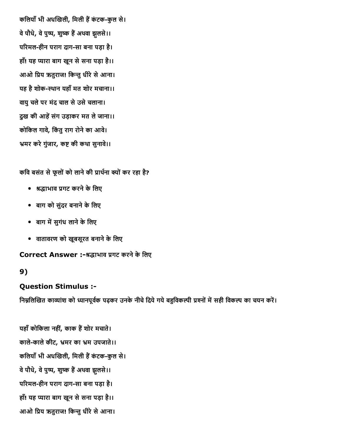कलियाँ भी अधखिली, मिली हैं कंटक-कुल से। वे पौधे, वे पुष्प, शुष्क हैं अथवा झुलसे।। परिमल-हीन पराग दाग-सा बना पड़ा है। हाँ! यह प्यारा बाग खून से सना पड़ा है।। आओ प्रिय ऋतुराज! किन्तु धीरे से आना। यह है शोक-स्थान यहाँ मत शोर मचाना।। वायुचलेपर मंद चाल सेउसेचलाना। दुख की आहें संग उड़ाकर मत ले जाना।। कोकिल गावे, किंतु राग रोने का आवे। भ्रमर करे गुंजार, कष्ट की कथा सुनावे।।

कवि बसंत से फूलों को लाने की प्रार्थना क्यों कर रहा है?

- ꤀缆堀缄ाभाव 开뼄गट करनेकेिलए
- बाग को सुंदर बनाने के लिए
- बाग में सुगंध लाने के लिए
- वातावरण को खूबसूरत बनाने के लिए

#### Correct Answer :-श्रद्धाभाव प्रगट करने के लिए

#### 9)

#### Question Stimulus :

निम्नलिखित काव्यांश को ध्यानपूर्वक पढ़कर उनके नीचे दिये गये बहुविकल्पी प्रश्नों में सही विकल्प का चयन करें।

यहाँ कोकिला नहीं, काक हैं शोर मचाते। काले-काले कीट, भ्रमर का भ्रम उपजाते।। कलियाँ भी अधखिली, मिली हैं कंटक-कुल से। वे पौधे, वे पुष्प, शुष्क हैं अथवा झुलसे।। परिमल-हीन पराग दाग-सा बना पड़ा है। हाँ! यह प्यारा बाग खून से सना पड़ा है।। आओ प्रिय ऋतुराज! किन्तु धीरे से आना।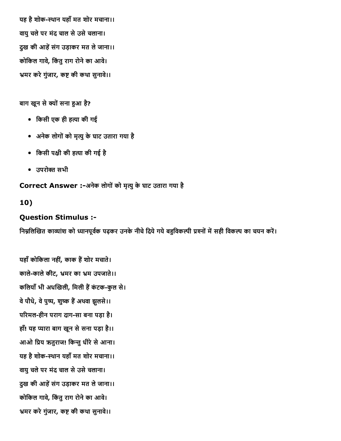यह है शोक-स्थान यहाँ मत शोर मचाना।। वायुचलेपर मंद चाल सेउसेचलाना। दुख की आहें संग उड़ाकर मत ले जाना।। कोकिल गावे, किंतु राग रोने का आवे। भ्रमर करे गुंजार, कष्ट की कथा सुनावे।।

#### बाग खून से क्यों सना हुआ है?

- िकसी एक ही हꄀ밂ा की गई
- अनेक लोगोंको मृꄀ밂ुकेघाट उतारा गया है
- िकसी प堀딄ी की हꄀ밂ा की गई है
- उपरो쬀ꀅ सभी

Correct Answer :-अनेक लोगों को मृत्यु के घाट उतारा गया है

#### 10)

#### Question Stimulus :

निम्नलिखित काव्यांश को ध्यानपूर्वक पढ़कर उनके नीचे दिये गये बहुविकल्पी प्रश्नों में सही विकल्प का चयन करें।

यहाँ कोकिला नहीं, काक हैं शोर मचाते। काले-काले कीट, भ्रमर का भ्रम उपजाते।। कलियाँ भी अधखिली, मिली हैं कंटक-कुल से। वे पौधे, वे पुष्प, शुष्क हैं अथवा झुलसे।। परिमल-हीन पराग दाग-सा बना पड़ा है। हाँ! यह प्यारा बाग खून से सना पड़ा है।। आओ प्रिय ऋतुराज! किन्तु धीरे से आना। यह है शोक-स्थान यहाँ मत शोर मचाना।। वायुचलेपर मंद चाल सेउसेचलाना। दुख की आहें संग उड़ाकर मत ले जाना।। कोकिल गावे, किंतु राग रोने का आवे। भ्रमर करे गुंजार, कष्ट की कथा सुनावे।।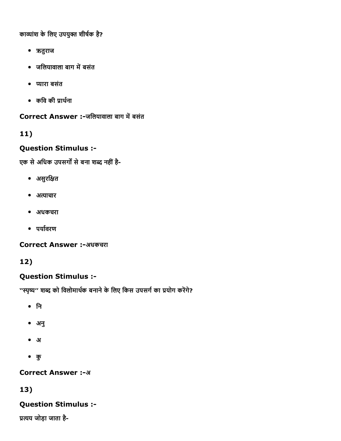काव्यांश के लिए उपयुक्त शीर्षक है?

- ऋतुराज
- जलियावाला बाग में बसंत
- प्यारा बसंत
- कवि की प्रार्थना

Correct Answer :-जलियावाला बाग में बसंत

### 11)

### Question Stimulus :

एक से अधिक उपसर्गों से बना शब्द नहीं है-

- असुरक्षित
- अत्याचार
- अधकचरा
- पर्यावरण

Correct Answer :-अधकचरा

## 12)

### Question Stimulus :

''स्पृष्य'' शब्द को विलोमार्थक बनाने के लिए किस उपसर्ग का प्रयोग करेंगे?

- िन
- अनु
- अ
- कु

### **Correct Answer :- अ**

### 13)

### Question Stimulus :

प्रत्यय जोड़ा जाता है-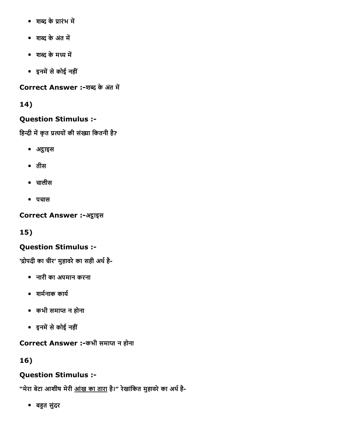- शब्द के प्रारंभ में
- शब्द के अंत में
- शब्द के मध्य में
- इनमें से कोई नहीं

Correct Answer :-शब्द के अंत में

## 14)

## Question Stimulus :

हिन्दी में कृत प्रत्ययों की संख्या कितनी है?

- अट्ठाइस
- तीस
- चालीस
- पचास

Correct Answer :-अट्ठाइस

15)

## Question Stimulus :

'द्रोपदी का चीर' मुहावरे का सही अर्थ है-

- नारी का अपमान करना
- शर्मनाक कार्य
- कभी समाप्त न होना
- इनमें से कोई नहीं

Correct Answer :-कभी समाप्त न होना

16)

## Question Stimulus :

"मेरा बेटा आशीष मेरी <u>आंख का तारा</u> है।" रेखांकित मुहावरे का अर्थ है-

• बहुत सुंदर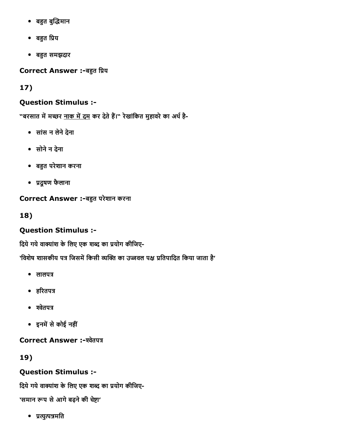- बहुत बुद्धिमान
- बहुत प्रिय
- बहुत समझदार

Correct Answer :-बहुत प्रिय

17)

### Question Stimulus :

"बरसात में मच्छर <u>नाक में दम</u> कर देते हैं।" रेखांकित मुहावरे का अर्थ है-

- सांस न लेनेदेना
- सोनेन देना
- बꨀ⸄त परेशान करना
- 开뼄दूषण फैलाना

### Correct Answer :-बहुत परेशान करना

18)

## Question Stimulus :

दिये गये वाक्यांश के लिए एक शब्द का प्रयोग कीजिए-

'विशेष शासकीय पत्र जिसमें किसी व्यक्ति का उज्जवल पक्ष प्रतिपादित किया जाता है'

- $\bullet$  लालपत्र
- हरितपत्र
- $\bullet$  श्वेतपत्र
- इनमें से कोई नहीं

Correct Answer :-श्वेतपत्र

19)

## Question Stimulus :

दिये गये वाक्यांश के लिए एक शब्द का प्रयोग कीजिए-

'समान रूप से आगे बढ़ने की चेष्टा'

• प्रत्युत्पन्नमति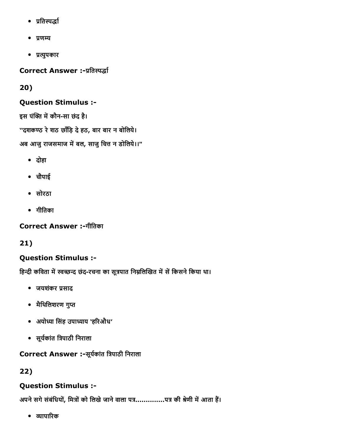- प्रतिस्पर्द्धा
- $\bullet$  प्रणम्य
- 开뼄ꄀ밂ुपकार

Correct Answer :-प्रतिस्पर्द्धा

### 20)

### Question Stimulus :

इस पंक्ति में कौन-सा छंद है। ''दशकण्ठ रे शठ छाँड़ि दे हठ, बार बार न बोलिये। अब आजु राजसमाज में बल, साजु चित्त न डोलिये।।"

- दोहा
- चौपाई
- सोरठा
- गीितका

Correct Answer :-गीतिका

21)

## Question Stimulus :

हिन्दी कविता में स्वच्छन्द छंद-रचना का सूत्रपात निम्नलिखित में सें किसने किया था।

- जयशंकर प्रसाद
- मैथिलिशरण गुप्त
- अयोध्या सिंह उपाध्याय 'हरिऔध'
- सूर्यकांत त्रिपाठी निराला

### Correct Answer :-सूर्यकांत त्रिपाठी निराला

22)

## Question Stimulus :

अपने सगे संबंधियों, मित्रों को लिखे जाने वाला पत्र...............पत्र की श्रेणी में आता हैं।

 $\bullet$  व्यापारिक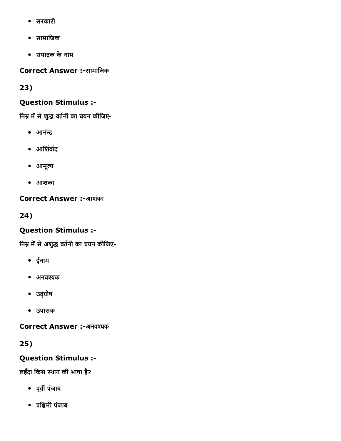- सरकारी
- सामािजक
- संपादक केनाम

Correct Answer :-सामाजिक

23)

## Question Stimulus :

निम्न में से शुद्ध वर्तनी का चयन कीजिए-

- आनंन्द
- आर्शिर्वाद
- आमूल्य
- आशंका

**Correct Answer :-आशंका** 

24)

## Question Stimulus :

निम्न में से अशुद्ध वर्तनी का चयन कीजिए-

- ईनाम
- अनवश्यक
- उद्घोष
- उपासक

Correct Answer :-अनवश्यक

25)

Question Stimulus :

लहँदा िकस थान की भाषा है?

- पूर्वी पंजाब
- पश्चिमी पंजाब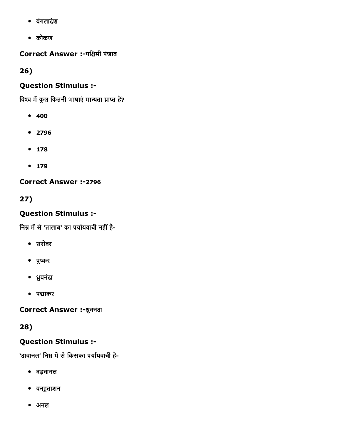- बंगलादेश
- कोकण

Correct Answer :-पश्चिमी पंजाब

26)

### Question Stimulus :

विश्व में कुल कितनी भाषाएं मान्यता प्राप्त हैं?

- 400
- 2796
- 178
- $179$

Correct Answer :-2796

27)

### Question Stimulus :

निम्न में से 'तालाब' का पर्यायवाची नहीं है-

- सरोवर
- पुष्कर
- 樀糖ुवनंदा
- पद्माकर

Correct Answer :- ध्रुवनंदा

28)

## Question Stimulus :

'दावानल' निम्न में से किसका पर्यायवाची है-

- वड़वानल
- वनहुताशन
- अनल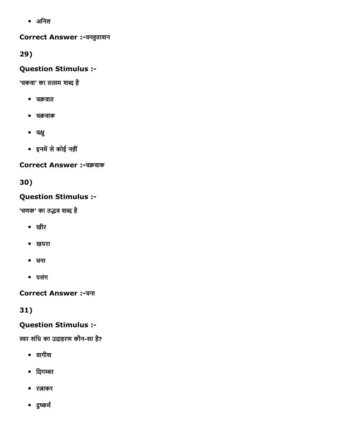अिनल

#### Correct Answer :-वनहुताशन

29)

### Question Stimulus :

'चकवा' का तत्सम शब्द है

- चक्रवात
- चक्रवाक
- चक्षु
- इनमें से कोई नहीं

#### Correct Answer :-चक्रवाक

30)

### Question Stimulus :

'चणक' का तद्भव शब्द है

- खीर
- खपरा
- चना
- पलंग

Correct Answer :चना

31)

### Question Stimulus :

स्वर संधि का उदाहरण कौन-सा है?

- वागीश
- दिगम्बर
- रताकर
- दुष्कर्म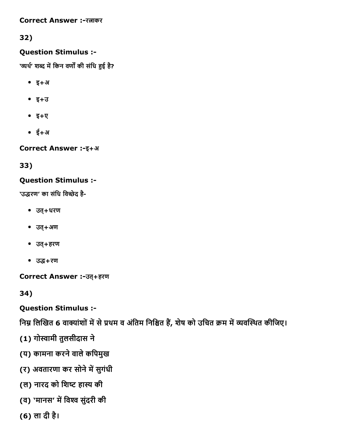Correct Answer :- रत्नाकर

32)

### Question Stimulus :

'व्यर्थ' शब्द में किन वर्णों की संधि हुई है?

- इ+अ
- इ+उ
- इ+ए
- ई+अ

**Correct Answer :- इ+अ** 

33)

### Question Stimulus :

'उद्धरण' का संधि विच्छेद है-

- उत्+धरण
- उत्+अण
- उत्+हरण
- उद्ध+रण

Correct Answer :-उत्+हरण

34)

Question Stimulus :

निम्न लिखित 6 वाक्यांशों में से प्रथम व अंतिम निश्चित हैं, शेष को उचित क्रम में व्यवस्थित कीजिए।

- (1) गोस्वामी तुलसीदास ने
- (य) कामना करनेवालेकिपमुख
- (र) अवतारणा कर सोने में सुगंधी
- (ल) नारद को शिष्ट हास्य की
- (व) 'मानस' में विश्व सुंदरी की
- (6) ला दी है।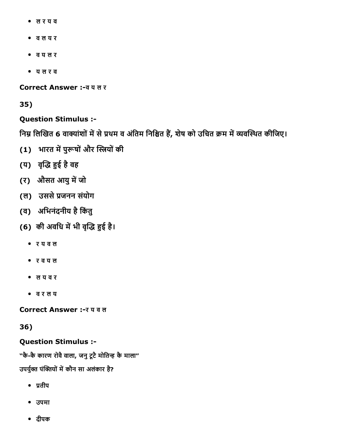- ल र य व
- व ल य र
- व य ल र
- य ल र व

Correct Answer :व य ल र

35)

### Question Stimulus :

निम्न लिखित 6 वाक्यांशों में से प्रथम व अंतिम निश्चित हैं, शेष को उचित क्रम में व्यवस्थित कीजिए।

- (1) भारत में पुरूषों और स्त्रियों की
- (य) वृद्धि हुई है वह
- (र) औसत आयु में जो
- (ल) उससे प्रजनन संयोग
- (व) अभिनंदनीय है किंतु
- (6) की अवधि में भी वृद्धि हुई है।
	- र य व ल
	- र व य ल
	- ल य व र
	- व र ल य

Correct Answer :- र य व ल

#### 36)

#### Question Stimulus :

"कै-कै कारण रोवै वाला, जनु टूटै मोतिन्ह कै माला"

उपर्युक्त पंक्तियों में कौन सा अलंकार है?

- प्रतीप
- उपमा
- दीपक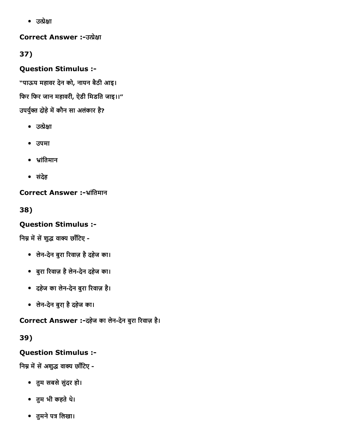• उत्प्रेक्षा

**Correct Answer :-उत्प्रेक्षा** 

37)

Question Stimulus :

"पाऊय महावर देन को, नायन बैठी आइ।

िफर िफर जान महावरी, ऐडी िमडित जाइ।।"

उपर्युक्त दोहे में कौन सा अलंकार है?

- $\bullet$  उत्प्रेक्षा
- उपमा
- ⤀琅ांितमान
- संदेह

Correct Answer :-भ्रांतिमान

38)

## Question Stimulus :

निम्न में से शुद्ध वाक्य छाँटिए -

- लेन-देन बुरा रिवाज़ है दहेज का।
- बुरा ᬁ뀅रवाज़ हैलेनदेन दहेज का।
- दहेज का लेन-देन बुरा रिवाज़ है।
- लेनदेन बुरा़हैदहेज का।

Correct Answer :-दहेज का लेन-देन बुरा रिवाज़ है।

39)

## Question Stimulus :

निम्न में सें अशुद्ध वाक्य छाँटिए -

- तुम सबसे सुंदर हो।
- तुम भी कहतेथ।े
- तुमने पत्र लिखा।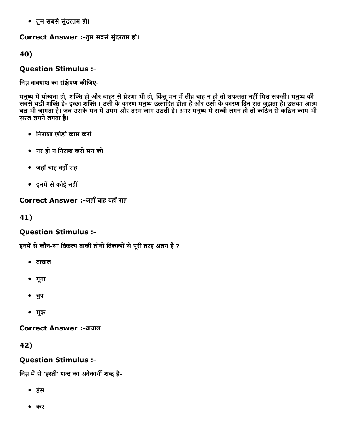• तुम सबसे सुंदरतम हो।

#### Correct Answer :-तुम सबसे सुंदरतम हो।

40)

### Question Stimulus :

निम्न वाक्यांश का संक्षेपण कीजिए-

मनुष्य में योग्यता हो, शक्ति हो और बाहर से प्रेरणा भी हो, किंतु मन में तीव्र चाह न हो तो सफलता नहीं मिल सकती। मनुष्य की सबसे बडी शक्ति है- इच्छा शक्ति । उसी के कारण मनुष्य उत्साहित होता है और उसी के कारण दिन रात जूझता है। उसका आत्म बल भी जागता है। जब उसके मन में उमंग और तरंग जाग उठती है। अगर मनुष्य में सच्ची लगन हो तो कठिन से कठिन काम भी सरल लगने लगता है।

- िनराशा छोड़ो काम करो
- नर हो न िनराश करो मन को
- जहाँचाह वहाँराह
- इनमें से कोई नहीं

### Correct Answer :-जहाँ चाह वहाँ राह

41)

## Question Stimulus :

इनमें से कौन-सा विकल्प बाकी तीनों विकल्पों से पूरी तरह अलग है ?

- वाचाल
- गूंगा
- चपु
- मूक

**Correct Answer :-वाचाल** 

42)

### Question Stimulus :

निम्न में से 'हस्ती' शब्द का अनेकार्थी शब्द है-

- हंस
- कर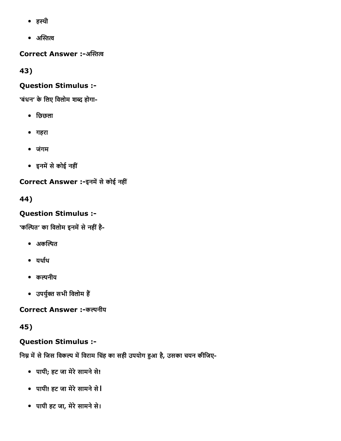- हथी
- $\bullet$  अस्तित्व

Correct Answer :-अस्तित्व

43)

### Question Stimulus :

'बंधन' के लिए विलोम शब्द होगा-

- िछछला
- गहरा
- जंगम
- इनमें से कोई नहीं

Correct Answer :-इनमें से कोई नहीं

44)

## Question Stimulus :

'कल्पित' का विलोम इनमें से नहीं है-

- $\bullet$  अकल्पित
- यर्थाथ
- कल्पनीय
- उपर्युक्त सभी विलोम हैं

Correct Answer :-कल्पनीय

45)

## Question Stimulus :

निम्न में से जिस विकल्प में विराम चिंह का सही उपयोग हुआ है, उसका चयन कीजिए-

- पापी; हट जा मेरे सामने से!
- पापी! हट जा मेरे सामने से।
- पापी हट जा, मेरेसामनेसे।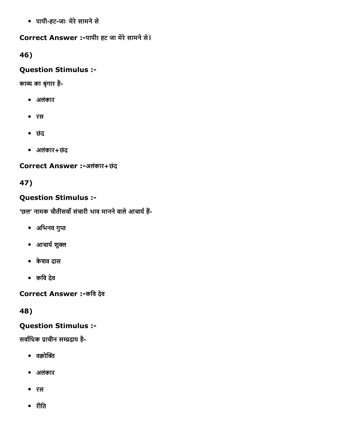पापीहटजाः मेरेसामनेसे

### Correct Answer :-पापी! हट जा मेरे सामने से।

46)

### Question Stimulus :

काव्य का श्रृंगार है-

- अलंकार
- रस
- छंद
- अलंकार+छंद

Correct Answer :-अलंकार+छंद

## 47)

## Question Stimulus :

'छल' नामक चौतीसवाँ संचारी भाव मानने वाले आचार्य हैं-

- अभिनव गुप्त
- आचार्य शुक्ल
- केशव दास
- किव देव

Correct Answer :-कवि देव

48)

## Question Stimulus :

सर्वाधिक प्राचीन सम्प्रदाय है-

- $\bullet$  वक्रोक्ति
- अलंकार
- रस
- रीित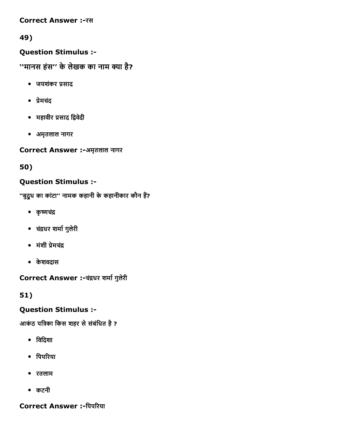#### **Correct Answer :- रस**

### 49)

Question Stimulus :

''मानस हंस'' के लेखक का नाम क्या है?

- जयशंकर प्रसाद
- प्रेमचंद
- महावीर प्रसाद द्विवेदी
- अमृतलाल नागर

Correct Answer :-अमृतलाल नागर

50)

### Question Stimulus :

''बुदूध का कांटा'' नामक कहानी के कहानीकार कौन हैं?

- कृष्णचंद्र
- चंद्रधर शर्मा गुलेरी
- मंशी प्रेमचंद्र
- केशवदास

Correct Answer :-चंद्रधर शर्मा गुलेरी

51)

### Question Stimulus :

आकंठ पत्रिका किस शहर से संबंधित है ?

- िविदशा
- पिपरिया
- रतलाम
- कटनी

Correct Answer :-पिपरिया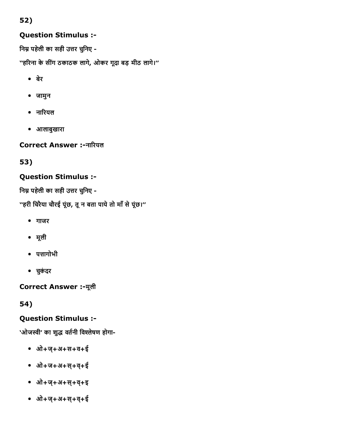## 52)

### Question Stimulus :

निम्न पहेली का सही उत्तर चुनिए -

''हरिना के सींग ठकाठक लागे, ओकर गूदा बड़ मीठ लागे।''

- बेर
- जामुन
- नारियल
- आलाबुखारा

Correct Answer :-नारियल

53)

### Question Stimulus :

निम्न पहेली का सही उत्तर चुनिए -

''हरी चिरैया चौरई पूंछ, तू न बता पाये तो माँ से पूंछ।''

- गाजर
- मूली
- पत्तागोभी
- चकुंदर

Correct Answer :मूली

54)

## Question Stimulus :

'ओजस्वी' का शुद्ध वर्तनी विश्लेषण होगा-

- ओ+ज्+अ+स+व+ई
- ओ+ज+अ+स्+व+्ई
- ओ+ज्+अ+स्+व+्इ
- ओ+ज्+अ+स्+व+्ई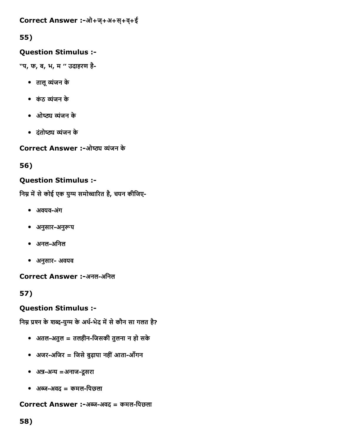### 55)

### Question Stimulus :

''प, फ, ब, भ, म '' उदाहरण है

- तालू व्यंजन के
- कंठ व्यंजन के
- ओष्ठ्य व्यंजन के
- दंतोष्ठ्य व्यंजन के

Correct Answer :-ओष्ठ्य व्यंजन के

56)

### Question Stimulus :

निम्न में से कोई एक युग्म समोच्चारित है, चयन कीजिए-

- अवयव-अंग
- अनुसार-अनुरूप
- अनलअिनल
- अनुसार अवयव

Correct Answer :-अनल-अनिल

57)

## Question Stimulus :

निम्न प्रश्न के शब्द-युग्म के अर्थ-भेद में से कौन सा गलत है?

- अतलअतुल = तलहीनिजसकी तुलना न हो सके
- अजर-अजिर = जिसे बुढ़ापा नहीं आता-आँगन
- अन्न-अन्य =अनाज-दूसरा
- अꨀ숅अवद = कमलिपछला

### Correct Answer :-अब्ज-अवद = कमल-पिछला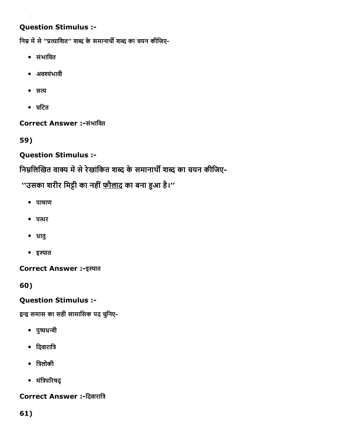निम्न में से ''प्रत्याशित'' शब्द के समानार्थी शब्द का चयन कीजिए-

- संभािवत
- अव櫿堅ंभावी
- $\bullet$  सत्य
- घिटत

Correct Answer :-संभावित

59)

# Question Stimulus :

निम्नलिखित वाक्य में से रेखांकित शब्द के समानार्थी शब्द का चयन कीजिए-

''उसका शरीर मिट्टी का नहीं <u>फौलाद</u> का बना हुआ है।''

- पाषाण
- पत्थर
- धातु
- इस्पात

Correct Answer :-इस्पात

60)

# Question Stimulus :

द्वन्द्व समास का सही सामासिक पद चुनिए-

- पुष्पधन्वी
- दिवारात्रि
- त्रिलोकी
- मंत्रिपरिषद्

Correct Answer :-दिवारात्रि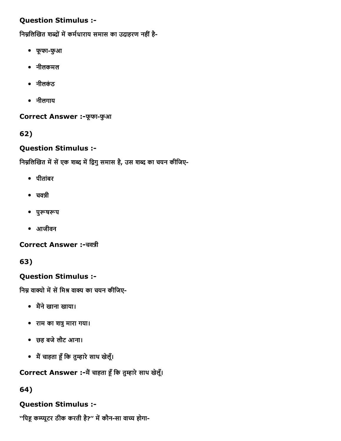निम्नलिखित शब्दों में कर्मधाराय समास का उदाहरण नहीं है-

- फूफाफुआ
- नीलकमल
- नीलकंठ
- नीलगाय

Correct Answer :-फूफा-फुआ

62)

## Question Stimulus :

निम्नलिखित में सें एक शब्द में द्विगु समास है, उस शब्द का चयन कीजिए-

- पीतांबर
- $\bullet$  चवन्नी
- पुरूषरूप
- आजीवन

Correct Answer :-चवन्नी

## 63)

## Question Stimulus :

निम्न वाक्यो में सें मिश्र वाक्य का चयन कीजिए-

- मैंने खाना खाया।
- राम का शत्रु मारा गया।
- छह बजेलौट आना।
- मैं चाहता हूँ कि तुम्हारे साथ खेलूँ।

Correct Answer :-मैं चाहता हूँ कि तुम्हारे साथ खेलूँ।

## 64)

# Question Stimulus :

''पिहू कम्प्यूटर ठीक करती है?'' में कौन-सा वाच्य होगा-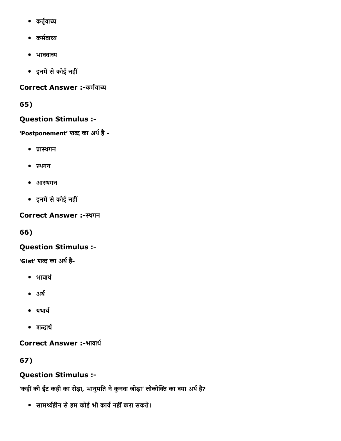- कर्तृवाच्य
- कर्मवाच्य
- $\bullet$  भाववाच्य
- इनमें से कोई नहीं

Correct Answer :- कर्मवाच्य

65)

# Question Stimulus :

'Postponement' शब्द का अर्थ है -

- प्रास्थगन
- स्थगन
- आथगन
- इनमें से कोई नहीं

# Correct Answer :-स्थगन

66)

# Question Stimulus :

'Gist' शब्द का अर्थ है-

- $\bullet$  भावार्थ
- अर्थ
- $^{\bullet}$  यथार्थ
- $\bullet$  शब्दार्थ

Correct Answer :-भावार्थ

67)

# Question Stimulus :

'कहीं की ईंट कहीं का रोड़ा, भानुमति ने कुनवा जोड़ा' लोकोक्ति का क्या अर्थ है?

• सामर्थ्यहीन से हम कोई भी कार्य नहीं करा सकते।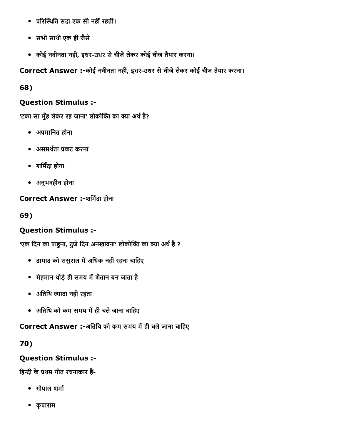- परिस्थिति सदा एक सी नहीं रहती।
- सभी साथी एक ही जैसे
- कोई नवीनता नहीं, इधर-उधर से चीजें लेकर कोई चीज तैयार करना।

Correct Answer :-कोई नवीनता नहीं, इधर-उधर से चीजें लेकर कोई चीज तैयार करना।

68)

# Question Stimulus :

'टका सा मुँह लेकर रह जाना' लोकोक्ति का क्या अर्थ है?

- अपमािनत होना
- असमर्थता प्रकट करना
- शर्मिंदा होना
- अनुभवहीन होना

Correct Answer :-शर्मिंदा होना

69)

# Question Stimulus :

'एक दिन का पाहुना, दूजे दिन अनखावना' लोकोक्ति का क्या अर्थ है ?

- दामाद को ससुराल में अधिक नहीं रहना चाहिए
- मेहमान थोड़े ही समय में शैतान बन जाता है
- अतिथि ज्यादा नहीं रहता
- अतिथि को कम समय में ही चले जाना चाहिए

Correct Answer :-अतिथि को कम समय में ही चले जाना चाहिए

70)

# Question Stimulus :

हिन्दी के प्रथम गीत रचनाकार हैं-

- गोपाल शर्मा
- कृपाराम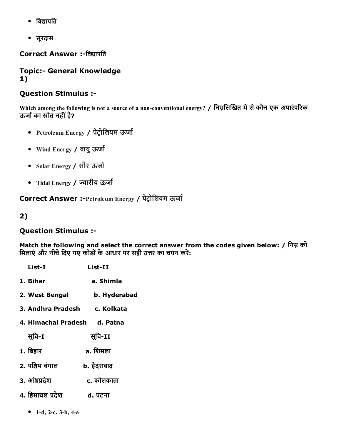- विद्यापति
- सूरदास

Correct Answer :-विद्यापति

### **Topic:- General Knowledge** 1)

### Question Stimulus :

Which among the following is not a source of a non-conventional energy? / निम्नलिखित में से कौन एक अपारंपरिक ऊर्जा का स्रोत नहीं है?

- Petroleum Energy / पेटोलियम ऊर्जा
- Wind Energy / वायु ऊर्जा
- Solar Energy / सौर ऊर्जा
- Tidal Energy / ज्वारीय ऊर्जा

Correct Answer :-Petroleum Energy / पेट्रोलियम ऊर्जा

2)

#### Question Stimulus :

Match the following and select the correct answer from the codes given below: / निम्न को मिलाएं और नीचे दिए गए कोडों के आधार पर सही उत्तर का चयन करें:

| List-I                       | List-II      |
|------------------------------|--------------|
| 1. Bihar                     | a. Shimla    |
| 2. West Bengal               | b. Hyderabad |
| 3. Andhra Pradesh            | c. Kolkata   |
| 4. Himachal Pradesh d. Patna |              |
| सूचि-I                       | सूचि-II      |
| 1. बिहार                     | a. शिमला     |
| 2. पश्चिम बंगाल              | b. हैदराबाद  |
| 3. आंध्रप्रदेश               | c. कोलकाता   |
| 4. हिमाचल प्रदेश             | d. पटना      |

• 1-d, 2-c, 3-b, 4-a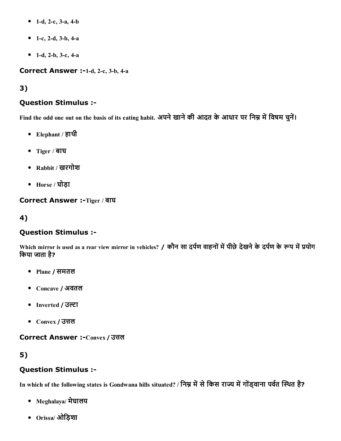- 1-d, 2-c, 3-a, 4-b
- 1-c, 2-d, 3-b, 4-a
- 1-d, 2-b, 3-c, 4-a

Correct Answer :-1-d, 2-c, 3-b, 4-a

3)

# Question Stimulus :

Find the odd one out on the basis of its eating habit. अपने खाने की आदत के आधार पर निम्न में विषम चुनें।

- Elephant / हाथी
- Tiger / बाघ
- Rabbit / खरगोश
- Horse / घोड़ा

Correct Answer :-Tiger / बाघ

4)

# Question Stimulus :

Which mirror is used as a rear view mirror in vehicles? / कौन सा दर्पण वाहनों में पीछे देखने के दर्पण के रूप में प्रयोग िकया जाता है?

- Plane / समतल
- Concave / अवतल
- Inverted / उल्टा
- $\bullet$  Convex / उत्तल

Correct Answer :-Convex / उत्तल

# 5)

# Question Stimulus :

In which of the following states is Gondwana hills situated? / निम्न में से किस राज्य में गोंड्वाना पर्वत स्थित है?

- Meghalaya/ मेघालय
- Orissa/ ओिड़शा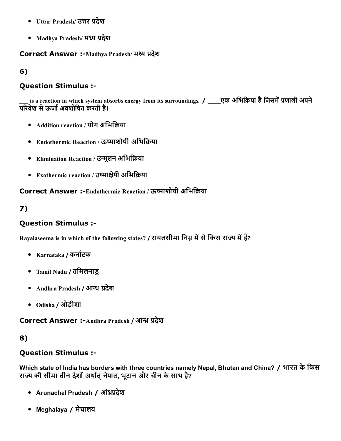- Uttar Pradesh/ उत्तर प्रदेश
- Madhya Pradesh/ मध्य प्रदेश

Correct Answer :-Madhya Pradesh/ मध्य प्रदेश

6)

## Question Stimulus :

is a reaction in which system absorbs energy from its surroundings. / \_\_\_\_एक अभिक्रिया है जिसमें प्रणाली अपने परिवेश से ऊर्जा अवशोषित करती है।

- Addition reaction / योग अभिक्रिया
- Endothermic Reaction / ऊष्माशोषी अभिक्रिया
- Elimination Reaction / उन्मूलन अभिक्रिया
- Exothermic reaction / उष्माक्षेपी अभिक्रिया

Correct Answer :-Endothermic Reaction / ऊष्माशोषी अभिकिया

# 7)

# Question Stimulus :

Rayalaseema is in which of the following states? / रायलसीमा निम्न में से किस राज्य में है?

- Karnataka / कर्नाटक
- Tamil Nadu / तिमलनाडु
- Andhra Pradesh / आन्ध्र प्रदेश
- Odisha / ओड़ीशा

Correct Answer :- Andhra Pradesh / आन्ध्र प्रदेश

## 8)

## Question Stimulus :

Which state of India has borders with three countries namely Nepal, Bhutan and China? / भारत के किस राज्य की सीमा तीन देशों अर्थात नेपाल, भूटान और चीन के साथ है?

- Arunachal Pradesh / आंध्रप्रदेश
- Meghalaya / मेघालय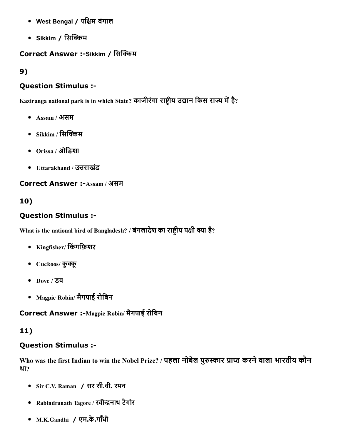- West Bengal / पश्चिम बंगाल
- Sikkim / सिक्किम

### Correct Answer :-Sikkim / सिक्किम

9)

### Question Stimulus :

Kaziranga national park is in which State? काजीरंगा राष्ट्रीय उद्यान किस राज्य में है?

- Assam / असम
- $\bullet$  Sikkim / सिक्किम
- Orissa / ओिड़शा
- Uttarakhand / उत्तराखंड

Correct Answer :-Assam / असम

10)

# Question Stimulus :

What is the national bird of Bangladesh? / बंगलादेश का राष्ट्रीय पक्षी क्या है?

- Kingfisher/ िकंगिफ़शर
- Cuckoos/ कुक्कू
- Dove / डव
- Magpie Robin/ मैगपाई रोिबन

Correct Answer :-Magpie Robin/ मैगपाई रोबिन

# 11)

## Question Stimulus :

Who was the first Indian to win the Nobel Prize? / पहला नोबेल पुरुस्कार प्राप्त करने वाला भारतीय कौन था?

- Sir C.V. Raman / सर सी.वी. रमन
- Rabindranath Tagore / रवीन्द्रनाथ टैगोर
- M.K.Gandhi / एम.के.गाँधी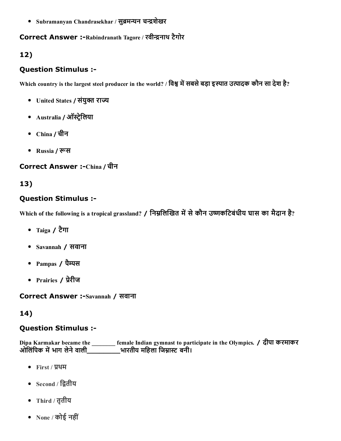• Subramanyan Chandrasekhar / सुब्रमन्यन चन्द्रशेखर

#### Correct Answer :-Rabindranath Tagore / रवीन्द्रनाथ टैगोर

# 12)

### Question Stimulus :

Which country is the largest steel producer in the world? / विश्व में सबसे बड़ा इस्पात उत्पादक कौन सा देश है?

- United States / संयुक्त राज्य
- Australia / ऑस्ट्रेलिया
- China / चीन
- Russia / रूस

### Correct Answer :-China / चीन

# 13)

### Question Stimulus :

Which of the following is a tropical grassland? / निम्नलिखित में से कौन उष्णकटिबंधीय घास का मैदान है?

- Taiga / टैगा
- Savannah / सवाना
- Pampas / पैम्पस
- Prairies / प्रेरीज

Correct Answer :-Savannah / सवाना

## 14)

## Question Stimulus :

Dipa Karmakar became the \_\_\_\_\_\_\_\_ female Indian gymnast to participate in the Olympics. / दीपा करमाकर ओलिंपिक में भाग लेने वाली\_\_\_\_\_\_\_\_\_\_भारतीय महिला जिम्नास्ट बनी।

- First / प्रथम
- $\bullet$  Second / द्वितीय
- Third / तृतीय
- None / कोई नहीं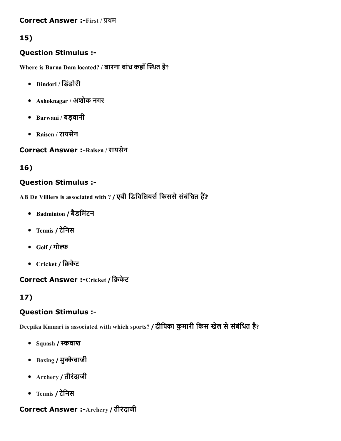**Correct Answer :-First / प्रथम** 

# 15)

## Question Stimulus :

Where is Barna Dam located? / बारना बांध कहाँ स्थित है?

- Dindori / िडंडोरी
- Ashoknagar / अशोक नगर
- Barwani / बड़वानी
- Raisen / रायसेन

Correct Answer :-Raisen / रायसेन

# 16)

# Question Stimulus :

AB De Villiers is associated with ? / एबी डिविलियर्स किससे संबंधित हैं?

- Badminton / बैडिमंटन
- Tennis / टेिनस
- Golf / गो
- Cricket / क्रिकेट

# Correct Answer :-Cricket / क्रिकेट

# 17)

# Question Stimulus :

Deepika Kumari is associated with which sports? / दीपिका कुमारी किस खेल से संबंधित है?

- Squash / स्कवाश
- $\bullet$  Boxing / मुक्केबाजी
- Archery / तीरंदाजी
- Tennis / टेिनस

## **Correct Answer :-Archery / तीरंदाजी**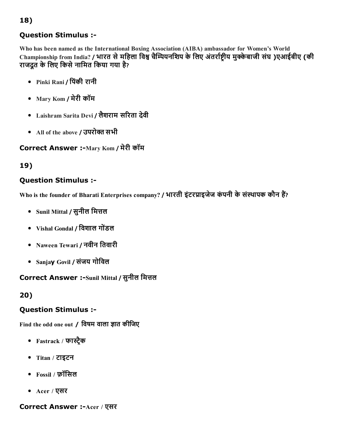Who has been named as the International Boxing Association (AIBA) ambassador for Women's World Championship from India? / भारत से महिला विश्व चैम्पियनशिप के लिए अंतर्राष्ट्रीय मुक्केबाजी संघ )एआईबीए (की राजदूत के लिए किसे नामित किया गया है?

- Pinki Rani / िपंकी रानी
- Mary Kom / मेरी कॉम
- Laishram Sarita Devi / लैशराम सरिता देवी
- All of the above / उपरोक्त सभी

# Correct Answer :-Mary Kom / मेरी कॉम

# 19)

# Question Stimulus :

Who is the founder of Bharati Enterprises company? / भारती इंटरप्राइजेज कंपनी के संस्थापक कौन हैं?

- Sunil Mittal / सुनील मित्तल
- Vishal Gondal / िवशाल गोडंल
- Naween Tewari / नवीन तिवारी
- Sanjay Govil / संजय गोिवल

# Correct Answer :-Sunil Mittal / सुनील मित्तल

# 20)

# Question Stimulus :

Find the odd one out / विषम वाला ज्ञात कीजिए

- Fastrack / फास्ट्रैक
- Titan / टाइटन
- Fossil / फ़ॉिसल
- Acer / एसर

# Correct Answer :-Acer / एसर

18)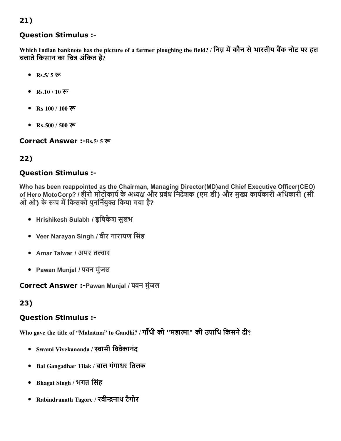Which Indian banknote has the picture of a farmer ploughing the field? / निम्न में कौन से भारतीय बैंक नोट पर हल चलाते किसान का चित्र अंकित है?

- $Rs.5/575$
- Rs.10 / 10 रू
- Rs  $100 / 100$  रू
- Rs.500 / 500 रू

Correct Answer :-Rs.5/ 5 रू

# 22)

### Question Stimulus :

Who has been reappointed as the Chairman, Managing Director(MD)and Chief Executive Officer(CEO) of Hero MotoCorp? / हीरो मोटोकार्प के अध्यक्ष और प्रबंध निदेशक (एम डी) और मुख्य कार्यकारी अधिकारी (सी ओ ओ) के रूप में किसको पनर्नियक्त किया गया है?

- Hrishikesh Sulabh / हृषिकेश सुलभ
- Veer Narayan Singh / वीर नारायण िसंह
- Amar Talwar / अमर तल्वार
- Pawan Munjal / पवन मुंजल

Correct Answer :Pawan Munjal / पवन मुंजल

23)

## Question Stimulus :

Who gave the title of "Mahatma" to Gandhi? / गाँधी को "महात्मा" की उपाधि किसने दी?

- Swami Vivekananda / ꨀ帅ामी िववेकानंद
- Bal Gangadhar Tilak / बाल गंगाधर ितलक
- Bhagat Singh / भगत िसंह
- Rabindranath Tagore / रवीन्द्रनाथ टैगोर

## 21)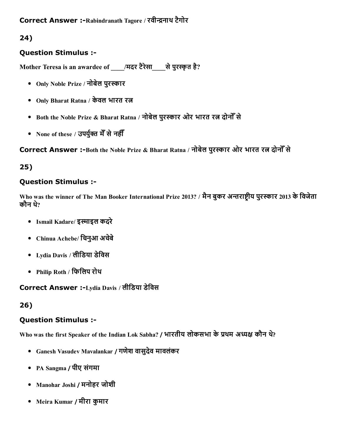### Correct Answer :-Rabindranath Tagore / रवीन्द्रनाथ टैगोर

# 24)

## Question Stimulus :

Mother Teresa is an awardee of \_\_\_\_/मदर टैरेसा\_\_\_\_से पुरस्कृत है?

- Only Noble Prize / नोबेल पुरस्कार
- Only Bharat Ratna / केवल भारत रत्न
- Both the Noble Prize & Bharat Ratna / नोबेल पुरस्कार ओर भारत रत्न दोनोँ से
- None of these / उपर्युक्त मेँ से नहीँ

Correct Answer :-Both the Noble Prize & Bharat Ratna / नोबेल पुरस्कार ओर भारत रत्न दोनोँ से

# 25)

## Question Stimulus :

Who was the winner of The Man Booker International Prize 2013? / मैन बुकर अन्तराष्टीय पुरस्कार 2013 के विजेता कौन थे?

- Ismail Kadare/ इस्माइल कदरे
- Chinua Achebe/ िचनुआ अचबेे
- Lydia Davis / लीिडया डेिवस
- Philip Roth / िफिलप रोथ

Correct Answer :Lydia Davis / लीिडया डेिवस

## 26)

## Question Stimulus :

Who was the first Speaker of the Indian Lok Sabha? / भारतीय लोकसभा के प्रथम अध्यक्ष कौन थे?

- Ganesh Vasudev Mavalankar / गणेश वासुदेव मावलंकर
- PA Sangma / पीए संगमा
- Manohar Joshi / मनोहर जोशी
- Meira Kumar / मीरा कुमार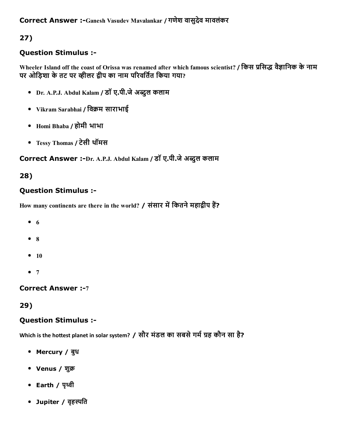# 27)

# Question Stimulus :

Wheeler Island off the coast of Orissa was renamed after which famous scientist? / किस प्रसिद्ध वैज्ञानिक के नाम पर ओड़िशा के तट पर व्हीलर द्वीप का नाम परिवर्तित किया गया?

- Dr. A.P.J. Abdul Kalam / डॉ ए.पी.जेअꨀ項ुल कलाम
- Vikram Sarabhai / विक्रम साराभाई
- Homi Bhaba / होमी भाभा
- Tessy Thomas / टेसी थॉमस

# Correct Answer :-Dr. A.P.J. Abdul Kalam / डॉ ए.पी.जे अब्दुल कलाम

# 28)

# Question Stimulus :

How many continents are there in the world? / संसार में कितने महाद्वीप हैं?

- $\bullet$  6
- 8
- $10$
- $7$

## **Correct Answer :- 7**

29)

## Question Stimulus :

Which is the hottest planet in solar system? / सौर मंडल का सबसे गर्म ग्रह कौन सा है?

- Mercury / बुध
- Venus / शुक्र
- Earth / पृथ्वी
- Jupiter / वृहस्पति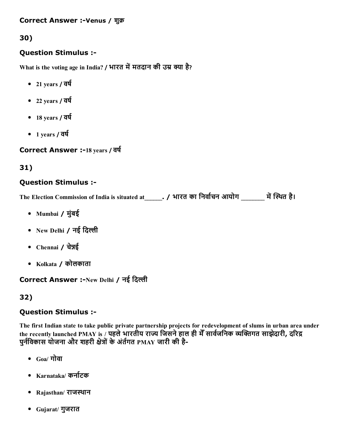#### Correct Answer :-Venus / शुक्र

# 30)

### Question Stimulus :

What is the voting age in India? / भारत में मतदान की उम्र क्या है?

- $-21$  years /  $\overline{q}q$
- $-22$  years /  $\overline{q}q$
- $-18$  years /  $\overline{q}q$
- $-1$  years /  $\overline{q}q$

Correct Answer :-18 years / वर्ष

# 31)

## Question Stimulus :

The Election Commission of India is situated at\_\_\_\_\_\_. / भारत का निर्वाचन आयोग \_\_\_\_\_\_\_ में स्थित है।

- Mumbai / मुंबई
- New Delhi  $/$  नई दिल्ली
- Chennai / चेन्नई
- Kolkata / कोलकाता

# Correct Answer :-New Delhi / नई दिल्ली

## 32)

## Question Stimulus :

The first Indian state to take public private partnership projects for redevelopment of slums in urban area under the recently launched PMAY is / पहले भारतीय राज्य जिसने हाल ही मेँ सार्वजनिक व्यक्तिगत साझेदारी, दरिद्र पुर्नविकास योजना और शहरी क्षेत्रों के अंर्तगत PMAY जारी की है-

- $_{\rm{Ga}/\overline{\rm{d}}}$ गोवा
- Karnataka/ कर्नाटक
- Rajasthan/ राजथान
- Gujarat/ गुजरात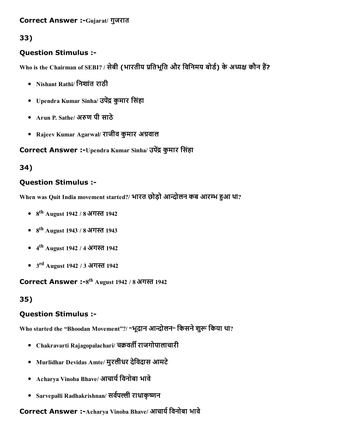#### Correct Answer :-Gujarat/ गुजरात

# 33)

## Question Stimulus :

Who is the Chairman of SEBI? / सेबी (भारतीय प्रतिभूति और विनिमय बोर्ड) के अध्यक्ष कौन हैं?

- Nishant Rathi/ िनशांत राठी
- Upendra Kumar Sinha/ उपेंद्र कुमार सिंहा
- Arun P. Sathe/ अरुण पी साठे
- Rajeev Kumar Agarwal/ राजीव कुमार अग्रवाल

### Correct Answer :-Upendra Kumar Sinha/ उपेंद्र कुमार सिंहा

## 34)

### Question Stimulus :

When was Quit India movement started?/ भारत छोड़ो आन्दोलन कब आरम्भ हुआ था?

- 8<sup>th</sup> August 1942 / 8 अगस्त 1942
- 8<sup>th</sup> August 1943 / 8 अगस्त 1943
- 4<sup>th</sup> August 1942 / 4 अगस्त 1942
- 3<sup>rd</sup> August 1942 / 3 अगस्त 1942

Correct Answer :- $8^{\text{th}}$  August 1942 / 8 अगस्त 1942

## 35)

## Question Stimulus :

Who started the "Bhoodan Movement"?/ "भूदान आन्दोलन" किसने शुरू किया था?

- Chakravarti Rajagopalachari/ चक्रवर्ती राजगोपालाचारी
- Murlidhar Devidas Amte/ मुरलीधर देिवदास आमटे
- Acharya Vinoba Bhave/ आचार्य विनोबा भावे
- Sarvepalli Radhakrishnan/ सर्वपल्ली राधाकृष्णन

### Correct Answer :-Acharya Vinoba Bhave/ आचार्य विनोबा भावे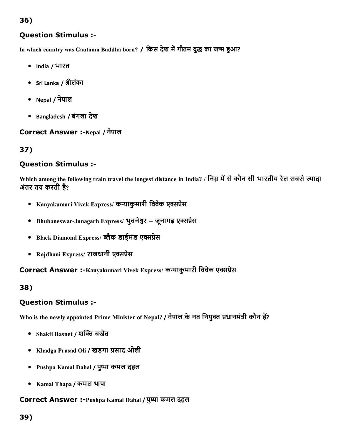# 36)

### Question Stimulus :

In which country was Gautama Buddha born? / किस देश में गौतम बुद्ध का जन्म हुआ?

- India / भारत
- Sri Lanka / श्रीलंका
- Nepal / नेपाल
- Bangladesh / बंगला देश

#### Correct Answer :-Nepal / नेपाल

## 37)

#### Question Stimulus :

Which among the following train travel the longest distance in India? / निम्न में से कौन सी भारतीय रेल सबसे ज्यादा अंतर तय करती है?

- Kanyakumari Vivek Express/ कन्याकुमारी विवेक एक्सप्रेस
- Bhubaneswar-Junagarh Express/ भूबनेश्वर जूनागढ़ एक्सप्रेस
- Black Diamond Express/ ब्लैक डाईमंड एक्सप्रेस
- Rajdhani Express/ राजधानी एक्सप्रेस

Correct Answer :-Kanyakumari Vivek Express/ कन्याकुमारी विवेक एक्सप्रेस

#### 38)

#### Question Stimulus :

Who is the newly appointed Prime Minister of Nepal? / नेपाल के नव नियुक्त प्रधानमंत्री कौन हैं?

- Shakti Basnet / शक्ति बस्नेत
- Khadga Prasad Oli / खड़गा प्रसाद ओली
- Pushpa Kamal Dahal / पुष्पा कमल दहल
- Kamal Thapa / कमल थापा

#### Correct Answer :-Pushpa Kamal Dahal / पुष्पा कमल दहल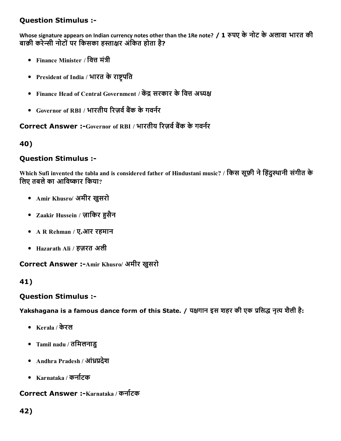Whose signature appears on Indian currency notes other than the 1Re note? / 1 रुपए के नोट के अलावा भारत की बाक़ी करेन्सी नोटों पर किसका हस्ताक्षर अंकित होता है?

- Finance Minister / वित्त मंत्री
- President of India / भारत के राष्ट्रपति
- Finance Head of Central Government / केंद्र सरकार के वित्त अध्यक्ष
- $\bullet$  Governor of RBI / भारतीय रिज़र्व बैंक के गवर्नर

# Correct Answer :-Governor of RBI / भारतीय रिज़र्व बैंक के गवर्नर

40)

#### Question Stimulus :

Which Sufi invented the tabla and is considered father of Hindustani music? / किस सूफ़ी ने हिंदुस्थानी संगीत के लिए तबले का आविष्कार किया?

- Amir Khusro/ अमीर खुसरो
- Zaakir Hussein / ज़ाकिर हुसैन
- A R Rehman / ए.आर रहमान
- Hazarath Ali / हज़रत अली

#### Correct Answer :- Amir Khusro/ अमीर खुसरो

#### 41)

#### Question Stimulus :

Yakshagana is a famous dance form of this State. / यक्षगान इस शहर की एक प्रसिद्ध नृत्य शैली है:

- Kerala / केरल
- Tamil nadu / तिमलनाडु
- Andhra Pradesh / ऑध्रप्रदेश
- Karnataka / कर्नाटक

#### Correct Answer :-Karnataka / कर्नाटक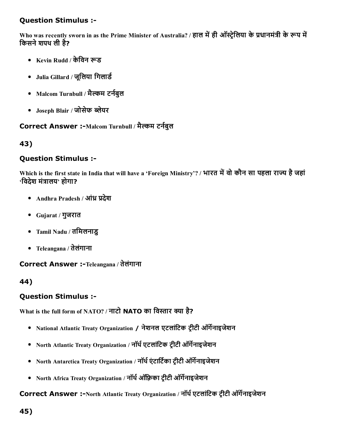Who was recently sworn in as the Prime Minister of Australia? / हाल में ही ऑस्ट्रेलिया के प्रधानमंत्री के रूप में किसने शपथ ली है?

- Kevin Rudd / केविन रूड
- Julia Gillard / जूलिया गिलार्ड
- Malcom Turnbull / मैल्कम टर्नबुल
- Joseph Blair / जोसेफ लेयर

### Correct Answer :-Malcom Turnbull / मैल्कम टर्नबुल

43)

#### Question Stimulus :

Which is the first state in India that will have a 'Foreign Ministry'? / भारत में वो कौन सा पहला राज्य है जहां  $\cdot$ विदेश मंत्रालय $\cdot$  होगा?

- Andhra Pradesh / आंध्र प्रदेश
- Gujarat / गुजरात
- Tamil Nadu / तिमलनाडु
- Teleangana / तेलंगाना

#### Correct Answer :-Teleangana / तेलंगाना

#### 44)

#### Question Stimulus :

What is the full form of NATO? / नाटो NATO का विस्तार क्या है?

- National Atlantic Treaty Organization / नेशनल एटलांटिक टीटी ऑर्गेनाइजेशन
- North Atlantic Treaty Organization / नॉर्थ एटलांटिक ट्रीटी ऑर्गेनाइजेशन
- North Antarctica Treaty Organization / नॉर्थ एंटार्टिका टीटी ऑर्गेनाइजेशन
- North Africa Treaty Organization / नॉर्थ ऑफ़्रिका टीटी ऑर्गेनाइजेशन

#### Correct Answer :-North Atlantic Treaty Organization / नॉर्थ एटलांटिक ट्रीटी ऑर्गेनाइजेशन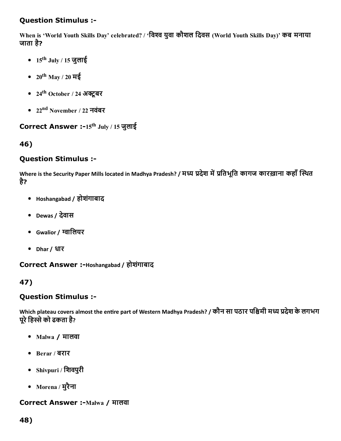When is 'World Youth Skills Day' celebrated? / 'िवव युवा कौशल िदवस (World Youth Skills Day)' कब मनाया जाता है?

- 15<sup>th</sup> July / 15 जुलाई
- $20^{\rm th}$  May / 20 मई
- 24<sup>th</sup> October / 24 अक्टूबर
- 22<sup>nd</sup> November / 22 नवंबर

#### Correct Answer :-15<sup>th</sup> July / 15 जुलाई

46)

#### Question Stimulus :

Where is the Security Paper Mills located in Madhya Pradesh? / मध्य प्रदेश में प्रतिभूति कागज कारख़ाना कहाँ स्थित है?

- Hoshangabad / होशगंाबाद
- Dewas / देवास
- Gwalior / ग्वालियर
- Dhar / धार

Correct Answer :-Hoshangabad / होशंगाबाद

## 47)

#### Question Stimulus :

Which plateau covers almost the entire part of Western Madhya Pradesh? / कौन सा पठार पश्चिमी मध्य प्रदेश के लगभग पूरे हिस्से को ढकता है?

- Malwa / मालवा
- Berar / बरार
- Shivpuri / िशवपुरी
- Morena / मुरैना

#### Correct Answer :-Malwa / मालवा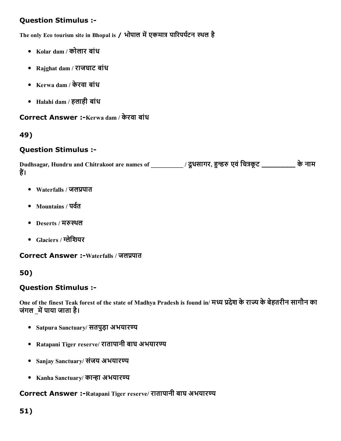The only Eco tourism site in Bhopal is / भोपाल में एकमात्र पारिपर्यटन स्थल है

- Kolar dam / कोलार बांध
- Rajghat dam / राजघाट बांध
- Kerwa dam / केरवा बांध
- Halahi dam / हलाही बांध

Correct Answer :-Kerwa dam / केरवा बांध

#### 49)

#### Question Stimulus :

Dudhsagar, Hundru and Chitrakoot are names of \_\_\_\_\_\_\_\_\_\_/ दूधसागर, हुन्डरु एवं चित्रकूट \_\_\_\_\_\_\_\_\_\_ के नाम हैं।

- $\bullet$  Waterfalls / जलप्रपात
- Mountains / पर्वत
- Deserts / मरुस्थल
- $\bullet$  Glaciers / ग्लेशियर

Correct Answer :-Waterfalls / जलप्रपात

50)

#### Question Stimulus :

One of the finest Teak forest of the state of Madhya Pradesh is found in/ मध्य प्रदेश के राज्य के बेहतरीन सागौन का जंगल में पाया जाता है।

- Satpura Sanctuary/ सतपुड़ा अभयारण्य
- Ratapani Tiger reserve/ रातापानी बाघ अभयारण्य
- Sanjay Sanctuary/ संजय अभयारण्य
- Kanha Sanctuary/ कान्हा अभयारण्य

#### Correct Answer :-Ratapani Tiger reserve/ रातापानी बाघ अभयारण्य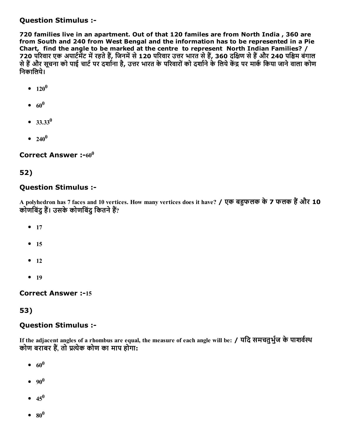720 families live in an apartment. Out of that 120 familes are from North India , 360 are from South and 240 from West Bengal and the information has to be represented in a Pie Chart, find the angle to be marked at the centre to represent North Indian Families? / 720 परिवार एक अपार्टमेंट में रहते हैं, जिनमें से 120 परिवार उत्तर भारत से हैं, 360 दक्षिण से हैं और 240 पश्चिम बंगाल से हैं और सूचना को पाई चाटे पर दशोना है, उत्तर भारत के परिवारों को दशोने के लिये केंद्र पर माके किया जाने वाला कोण िनकािलये।

- $120^0$
- $60^0$
- $33.33^{0}$
- $240^0$

Correct Answer :- $60^0$ 

#### 52)

#### Question Stimulus :

A polyhedron has 7 faces and 10 vertices. How many vertices does it have? / एक बहुफलक के 7 फलक हैं और 10 कोणबिंदु हैं। उसके कोणबिंदु कितने हैं?

- $17$
- $15$
- $-12$
- $19$

**Correct Answer :-15** 

#### 53)

#### Question Stimulus :

If the adjacent angles of a rhombus are equal, the measure of each angle will be: / यदि समचतुर्भुज के पाशर्वस्थ कोण बराबर हैं, तो प्रत्येक कोण का माप होगा:

- $60^0$
- 90 0
- $45^{0}$
- $\mathbf{80}^{0}$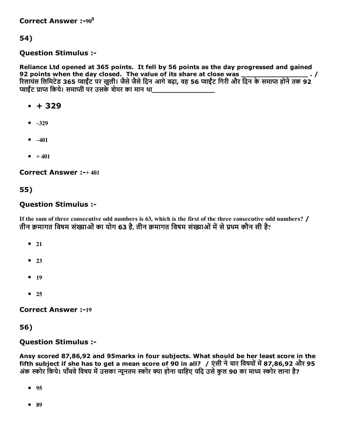54)

#### Question Stimulus :

Reliance Ltd opened at 365 points. It fell by 56 points as the day progressed and gained 92 points when the day closed. The value of its share at close was \_\_\_\_\_\_\_\_\_\_\_\_\_\_\_\_\_\_\_. / रिलायंस लिमिटेड 365 प्वाईंट पर खुली। जैसे जैसे दिन आगे बढ़ा, वह 56 प्वाईंट गिरी और दिन के समाप्त होने तक 92 प्वाईंट प्राप्त किये। समाप्ती पर उसके शेयर का मान था

- $+ 329$
- $-329$
- $-401$
- $+ 401$

Correct Answer :+ 401

55)

#### Question Stimulus :

If the sum of three consecutive odd numbers is 63, which is the first of the three consecutive odd numbers? / तीन क्रमागत विषम संख्याओं का योग 63 है. तीन क्रमागत विषम संख्याओं में से प्रथम कौन सी है?

- $21$
- $23$
- $-19$
- $25$

**Correct Answer :-19** 

56)

Question Stimulus :

Ansy scored 87,86,92 and 95marks in four subjects. What should be her least score in the fifth subject if she has to get a mean score of 90 in all? / एंसी ने चार विषयों में 87,86,92 और 95 अंक स्कोर किये। पाँचवे विषय में उसका न्यनतम स्कोर क्या होना चाहिए यदि उसे कल 90 का माध्य स्कोर लाना है?

- $95$
- 89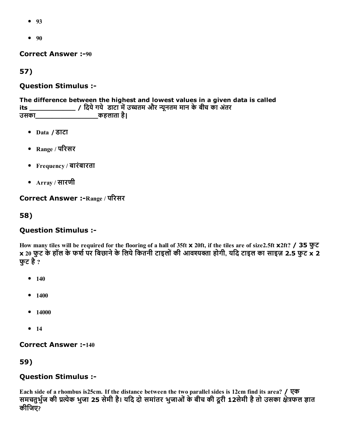- 93
- $90$

**Correct Answer :-90** 

57)

#### Question Stimulus :

The difference between the highest and lowest values in a given data is called its \_\_\_\_\_\_\_\_\_\_\_\_\_\_\_ / दिये गये डाटा में उच्चतम और न्यूनतम मान के बीच का अंतर<br>उसक<u>ा \_\_\_\_\_\_\_\_</u>\_\_\_\_\_\_\_\_\_\_\_\_\_ कहलाता है। उसका\_\_\_\_\_\_\_\_\_\_\_\_\_\_\_कहलाता है|

- Data / डाटा
- Range / परिसर
- Frequency / बारंबारता
- Array / सारणी

Correct Answer :- Range / परिसर

58)

#### Question Stimulus :

How many tiles will be required for the flooring of a hall of 35ft x 20ft, if the tiles are of size2.5ft x2ft? / 35 फुट  $\times$  20 फुट के हॉल के फर्श पर बिछाने के लिये कितनी टाइलों की आवश्यक्ता होगी, यदि टाइल का साइज़ 2.5 फुट  $\times$  2 फट है $\,$  ?

- $140$
- $1400$
- $14000$
- $14$

**Correct Answer :-140** 

59)

#### Question Stimulus :

Each side of a rhombus is25cm. If the distance between the two parallel sides is 12cm find its area? / एक समचतुर्भुज की प्रत्येक भुजा 25 सेमी है। यदि दो समांतर भुजाओं के बीच की दूरी 12सेमी है तो उसका क्षेत्रफल ज्ञात कीिजए?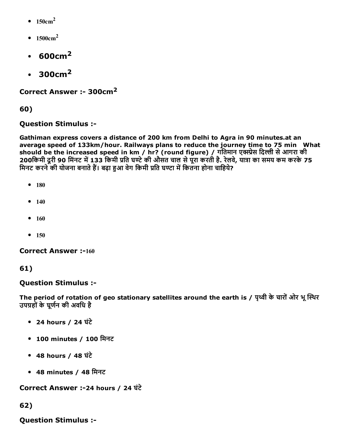- $\bullet$  150cm<sup>2</sup>
- $1500 \text{cm}^2$
- $\cdot$  600cm<sup>2</sup>
- $\cdot$  300 $cm<sup>2</sup>$

Correct Answer :- 300cm<sup>2</sup>

60)

# Question Stimulus :

Gathiman express covers a distance of 200 km from Delhi to Agra in 90 minutes.at an average speed of 133km/hour. Railways plans to reduce the journey time to 75 min What should be the increased speed in km / hr? (round figure) / गतिमान एक्स्प्रेस दिल्ली से आगरा की 200किमी दूरी 90 मिंनट में 133 किमी प्रति घण्टे की औसत चाल से पूरा करती है. रेलवे, यात्रा का समय कम करके 75 मिनट करने की योजना बनाते हैं। बढ़ा हुआ वेग किमी प्रति घण्टा में कितना होना चाहिये?

- $180$
- $140$
- $160$
- $150$

**Correct Answer :-160** 

61)

## Question Stimulus :

The period of rotation of geo stationary satellites around the earth is / पृथ्वी के चारों ओर भू स्थिर उपग्रहों के घूर्णन की अवधि है

- 24 hours / 24 घंटे
- 100 minutes / 100 मिनट
- 48 hours / 48 घंटे
- 48 minutes / 48 िमनट

Correct Answer :24 hours / 24 घंटे

62)

Question Stimulus :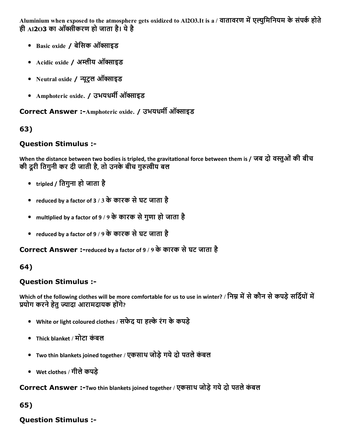Aluminium when exposed to the atmosphere gets oxidized to Al2O3.It is a / वातावरण में एल्युमिनियम के संपर्क होते ही AI**2**O3 का ऑक्सीकरण हो जाता है। ये है

- Basic oxide / बेसिक ऑक्साइड
- Acidic oxide / अम्लीय ऑक्साइड
- Neutral oxide / न्यूट्रल ऑक्साइड
- Amphoteric oxide. / उभयधर्मी ऑक्साइड

Correct Answer :-Amphoteric oxide. / उभयधर्मी ऑक्साइड

# 63)

# Question Stimulus :

When the distance between two bodies is tripled, the gravitational force between them is / जब दो वस्तुओं की बीच की दूरी तिगुनी कर दी जाती है, तो उनके बीच गुरुत्वीय बल

- tripled / ितगुना हो जाता है
- reduced by a factor of 3 / 3 के कारक से घट जाता है
- multiplied by a factor of 9 / 9 के कारक से गुणा हो जाता है
- reduced by a factor of 9 / 9 के कारक से घट जाता है

Correct Answer :-reduced by a factor of 9 / 9 के कारक से घट जाता है

# 64)

# Question Stimulus :

Which of the following clothes will be more comfortable for us to use in winter? / निम्न में से कौन से कपड़े सर्दियों में प्रयोग करने हेतु ज्यादा आरामदायक होंगे?

- White or light coloured clothes / सफेद या हल्के रंग के कपड़े
- Thick blanket / मोटा कंबल
- Two thin blankets joined together / एकसाथ जोड़ेगयेदो पतलेकंबल
- Wet clothes / गीलेकपड़े

Correct Answer :-Two thin blankets joined together / एकसाथ जोड़े गये दो पतले कंबल

# 65)

# Question Stimulus :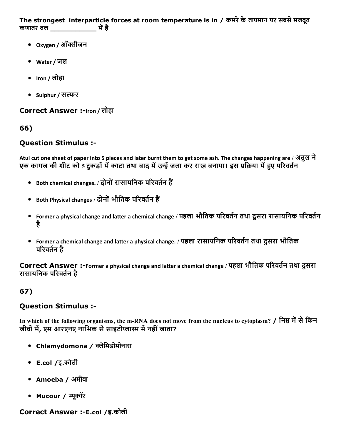The strongest interparticle forces at room temperature is in / कमरे के तापमान पर सबसे मजबूत कणातंर बल \_\_\_\_\_\_\_\_\_\_\_ म뀅है

- Oxygen / ऑक्सीजन
- Water / जल
- $Iron / q \overline{f}$ ाron / लोहा
- Sulphur / सल्फर

Correct Answer :-Iron / लोहा

66)

# Question Stimulus :

Atul cut one sheet of paper into 5 pieces and later burnt them to get some ash. The changes happening are / अतुल ने एक कागज की शीट को 5 टकड़ों में काटा तथा बाद में उन्हें जला कर राख बनाया। इस प्रक्रिया में हुए परिवर्तन

- $\bullet$  Both chemical changes. / दोनों रासायनिक परिवर्तन हैं
- $\bullet$  Both Physical changes / दोनों भौतिक परिवर्तन हैं
- Former a physical change and latter a chemical change / पहला भौतिक परिवर्तन तथा दूसरा रासायनिक परिवर्तन है
- Former a chemical change and latter a physical change. / पहला रासायनिक परिवर्तन तथा दूसरा भौतिक परिवर्तन है

Correct Answer :-Former a physical change and latter a chemical change / पहला भौतिक परिवर्तन तथा दूसरा रासायनिक परिवर्तन है

# 67)

## Question Stimulus :

In which of the following organisms, the m-RNA does not move from the nucleus to cytoplasm? / निम्न में से किन जीवों में, एम आरएनए नाभिक से साइटोप्लास्म में नहीं जाता?

- Chlamydomona / क्लैमिडोमोनास
- E.col /इ.कोली
- Amoeba / अमीबा
- Mucour / म्यूकॉर

#### Correct Answer :-E.col /इ.कोली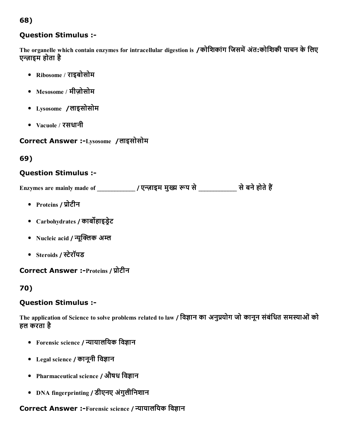# 68)

### Question Stimulus :

The organelle which contain enzymes for intracellular digestion is /कोशिकांग जिसमें अंत:कोशिकी पाचन के लिए एज़ाइम होता है

- Ribosome / राइबोसोम
- Mesosome / मीज़ोसोम
- Lysosome /लाइसोसोम
- Vacuole / रसधानी

Correct Answer :Lysosome /लाइसोसोम

# 69)

## Question Stimulus :

Enzymes are mainly made of \_\_\_\_\_\_\_\_\_\_\_\_\_ / एन्ज़ाइम मुख्य रूप से \_\_\_\_\_\_\_\_\_\_\_ से बने होते हैं

- Proteins / प्रोटीन
- Carbohydrates / कार्बोहाइडेट
- Nucleic acid / न्यूक्लिक अम्ल
- Steroids / स्टेरॉयड

#### Correct Answer :-Proteins / प्रोटीन

## 70)

## Question Stimulus :

The application of Science to solve problems related to law / विज्ञान का अनुप्रयोग जो कानून संबंधित समस्याओं को हल करता है

- Forensic science / न्यायालयिक विज्ञान
- Legal science / कानूनी विज्ञान
- Pharmaceutical science / औषध विज्ञान
- DNA fingerprinting / डीएनए अंगुलीिनशान

# Correct Answer :-Forensic science / न्यायालयिक विज्ञान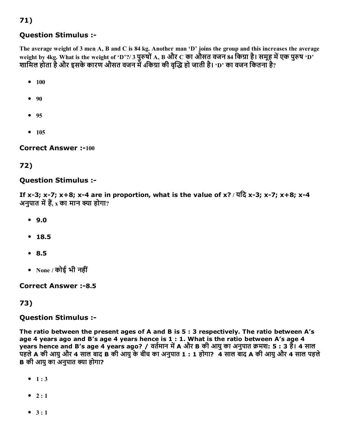The average weight of 3 men A, B and C is 84 kg. Another man 'D' joins the group and this increases the average weight by 4kg. What is the weight of 'D'?/ 3 पुरुषों A, B और C का औसत वजन 84 किग्रा है। समूह में एक पुरुष 'D' शामिल होता है और इसके कारण औसत वजन में 4किग्रा की वद्धि हो जाती है। 'D' का वजन कितना है?

 $• 100$ 

71)

- $90$
- $95$
- $105$

**Correct Answer :-100** 

#### 72)

#### Question Stimulus :

If x-3; x-7; x+8; x-4 are in proportion, what is the value of x? / यदि x-3; x-7; x+8; x-4 अनुपात में हैं, x का मान क्या होगा?

- 9.0
- $18.5$
- 8.5
- $\bullet$  None / कोई भी नहीं

#### **Correct Answer :-8.5**

#### 73)

#### Question Stimulus :

The ratio between the present ages of A and B is 5 : 3 respectively. The ratio between A's age 4 years ago and B's age 4 years hence is 1 : 1. What is the ratio between A's age 4 years hence and B's age 4 years ago? / वर्तमान में A और B की आयु का अनुपात क्रमश: 5 : 3 है। 4 साल पहलेA की आयुऔर 4 साल बाद B की आयुकेबीच का अनुपात 1 : 1 होगा? 4 साल बाद A की आयुऔर 4 साल पहले **B** की आयु का अनुपात क्या होगा?

- $1:3$
- $\bullet$  2:1
- $3 : 1$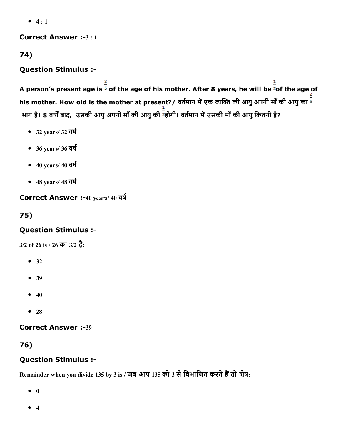$• 4 : 1$ 

Correct Answer :-3:1

74)

# Question Stimulus :

A person's present age is  $\frac{2}{5}$  of the age of his mother. After 8 years, he will be <sup>2</sup>of the age of his mother. How old is the mother at present?/ वर्तमान में एक व्यक्ति की आयु अपनी माँ की आयु का  $^{\overline{\textsf{s}}}$ भाग है। 8 वर्षों बाद, उसकी आयु अपनी माँ की आयु की ट्होगी। वर्तमान में उसकी माँ की आयु कितनी है?

- $-32$  years/ 32 वर्ष
- $-36$  years/ 36  $\overline{d}$
- $-40 \text{ years} / 40 \overline{\text{ q}}$ र्ष
- $-48$  years/  $48$  वर्ष

Correct Answer :-40 years/ 40 वर्ष

75)

# Question Stimulus :

3/2 of 26 is / 26 का 3/2 है:

- $32$
- 39
- $40$
- $28$

**Correct Answer :-39** 

76)

# Question Stimulus :

Remainder when you divide 135 by 3 is / जब आप 135 को 3 से विभाजित करते हैं तो शेष:

 $\bullet$  0

 $• 4$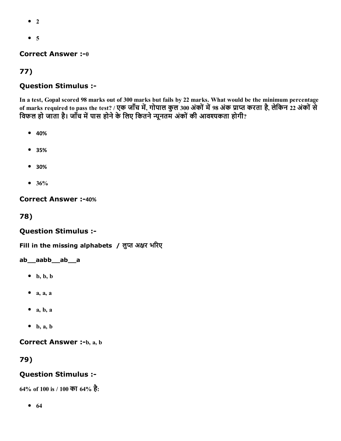- $^{\bullet}$  2
- $5$

### **Correct Answer :- 0**

# 77)

# Question Stimulus :

In a test, Gopal scored 98 marks out of 300 marks but fails by 22 marks. What would be the minimum percentage of marks required to pass the test? / एक जाँच में, गोपाल कुल 300 अंकों में 98 अंक प्राप्त करता है, लेकिन 22 अंकों से विफल हो जाता है। जाँच में पास होने के लिए कितने न्यूनतम अंकों की आवश्यकता होगी?

- 40%
- 35%
- 30%
- $36%$

**Correct Answer :-40%** 

78)

## Question Stimulus :

Fill in the missing alphabets / लुप्त अक्षर भरिए

#### ab\_\_aabb\_\_ab\_\_a

- $\bullet$  b, b, b
- $\bullet$  a, a, a
- $\bullet$  a, b, a
- $\bullet$  b, a, b

**Correct Answer :-b, a, b** 

## 79)

## Question Stimulus :

64% of 100 is / 100 का 64% है:

 $• 64$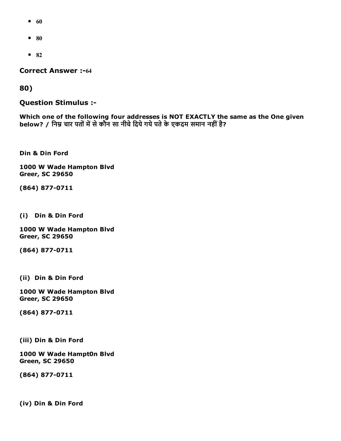- $60$
- $80$
- $82$

**Correct Answer :-64** 

80)

Question Stimulus :

Which one of the following four addresses is NOT EXACTLY the same as the One given below? / निम्न चार पतों में से कौन सा नीचे दिये गये पते के एकदम समान नहीं है?

Din & Din Ford

1000 W Wade Hampton Blvd Greer, SC 29650

(864) 877-0711

(i) Din & Din Ford

1000 W Wade Hampton Blvd Greer, SC 29650

(864) 877-0711

(ii) Din & Din Ford

1000 W Wade Hampton Blvd Greer, SC 29650

(864) 877-0711

(iii) Din & Din Ford

1000 W Wade Hampt0n Blvd Green, SC 29650

(864) 877-0711

(iv) Din & Din Ford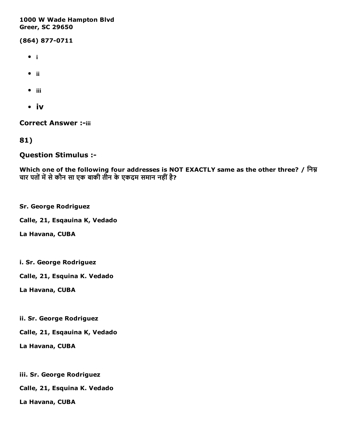#### 1000 W Wade Hampton Blvd Greer, SC 29650

(864) 877-0711

- $\bullet$  i
- ii
- $\bullet$  iii
- iv

**Correct Answer :-iii** 

81)

#### Question Stimulus :

Which one of the following four addresses is NOT EXACTLY same as the other three? / निम्न चार पतों में से कौन सा एक बाकी तीन के एकदम समान नहीं है?

Sr. George Rodriguez

Calle, 21, Esqauina K, Vedado

La Havana, CUBA

i. Sr. George Rodriguez

Calle, 21, Esquina K. Vedado

La Havana, CUBA

ii. Sr. George Rodriguez

Calle, 21, Esqauina K, Vedado

La Havana, CUBA

iii. Sr. George Rodriguez

Calle, 21, Esquina K. Vedado

La Havana, CUBA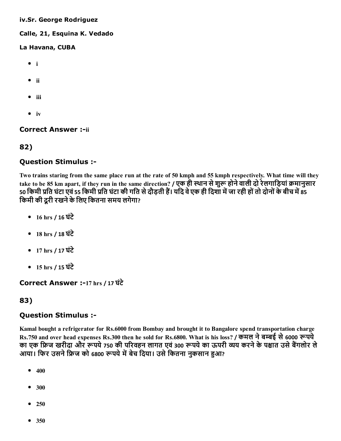#### iv.Sr. George Rodriguez

#### Calle, 21, Esquina K. Vedado

#### La Havana, CUBA

- $\bullet$  i
- ii
- $\bullet$  iii
- $\bullet$  iv

#### **Correct Answer :-ii**

### 82)

### Question Stimulus :

Two trains staring from the same place run at the rate of 50 kmph and 55 kmph respectively. What time will they take to be 85 km apart, if they run in the same direction? / एक ही स्थान से शुरू होने वाली दो रेलगाड़ियां क्रमानुसार 50 किमी प्रति घंटा एवं 55 किमी प्रति घंटा की गति से दौड़ती हैं। यदि वे एक ही दिशा में जा रही हों तो दोनों के बीच में 85 किमी की दूरी रखने के लिए कितना समय लगेगा?

- 16 hrs / 16 घंटे
- 18 hrs / 18 घंटे
- 17 hrs / 17 घंटे
- 15 hrs / 15 घंटे

Correct Answer :17 hrs / 17 घंटे

## 83)

#### Question Stimulus :

Kamal bought a refrigerator for Rs.6000 from Bombay and brought it to Bangalore spend transportation charge Rs.750 and over head expenses Rs.300 then he sold for Rs.6800. What is his loss? / कमल ने बम्बई से 6000 रूपये का एक फ्रिज खरीदा और रूपये 750 की परिवहन लागत एवं 300 रूपये का ऊपरी व्यय करने के पश्चात उसे बैंगलोर ले आया। फिर उसने फ्रिज को 6800 रूपये में बेच दिया। उसे कितना नुकसान हुआ?

- $400$
- 300
- $250$
- 350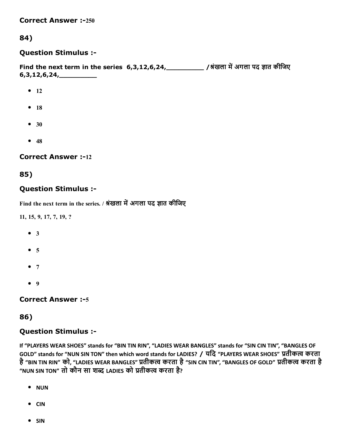**Correct Answer :-250** 

## 84)

#### Question Stimulus :

Find the next term in the series 6,3,12,6,24, 2001 / अंखला में अगला पद ज्ञात कीजिए 6,3,12,6,24,\_\_\_\_\_\_\_\_\_

- $\bullet$  12
- $18$
- $30$
- $48$

#### **Correct Answer :-12**

#### 85)

### Question Stimulus :

Find the next term in the series. / श्रंखला में अगला पद ज्ञात कीजिए

11, 15, 9, 17, 7, 19, ?

- $\bullet$  3
- $5$
- $7$
- $9$

#### **Correct Answer :- 5**

#### 86)

#### Question Stimulus :

If "PLAYERS WEAR SHOES" stands for "BIN TIN RIN", "LADIES WEAR BANGLES" stands for "SIN CIN TIN", "BANGLES OF GOLD" stands for "NUN SIN TON" then which word stands for LADIES? / यदि "PLAYERS WEAR SHOES" प्रतीकत्व करता है "BIN TIN RIN" को, "LADIES WEAR BANGLES" प्रतीकत्व करता है "SIN CIN TIN", "BANGLES OF GOLD" प्रतीकत्व करता है "NUN SIN TON" तो कौन सा शब्द LADIES को प्रतीकत्व करता है?

- NUN
- CIN
- SIN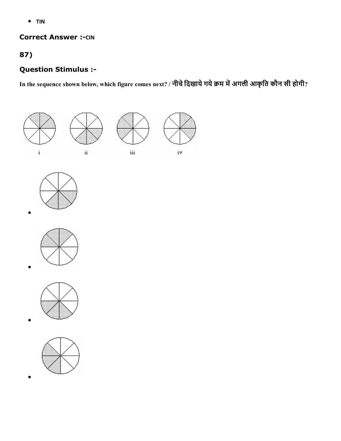TIN

#### **Correct Answer :- CIN**

# 87)

# Question Stimulus :

In the sequence shown below, which figure comes next? / नीचे दिखाये गये क्रम में अगली आकृति कौन सी होगी?









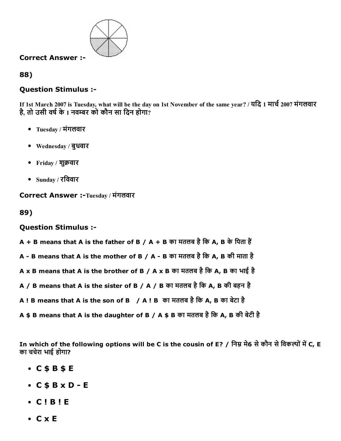

#### Correct Answer :

88)

## Question Stimulus :

If 1st March 2007 is Tuesday, what will be the day on 1st November of the same year? / यदि 1 मार्च 2007 मंगलवार है, तो उसी वर्ष के 1 नवम्बर को कौन सा दिन होगा?

- Tuesday / मंगलवार
- Wednesday / बुधवार
- Friday / शुक्रवार
- $\bullet$  Sunday / रविवार

Correct Answer :-Tuesday / मंगलवार

89)

#### Question Stimulus :

- $A + B$  means that A is the father of B / A + B का मतलब है कि A, B के पिता हैं
- A B means that A is the mother of B / A B का मतलब है कि A, B की माता है
- A x B means that A is the brother of B / A x B का मतलब है कि A, B का भाई है
- A / B means that A is the sister of B / A / B का मतलब है कि A, B की बहन है
- A! B means that A is the son of B / A! B का मतलब है कि A, B का बेटा है
- A \$ B means that A is the daughter of B / A \$ B का मतलब है कि A, B की बेटी है

In which of the following options will be C is the cousin of E? / निम्न मे6 से कौन से विकल्पों में C, E का चचेरा भाई होगा?

- C \$ B \$ E
- $\bullet$  C \$ B x D E
- C ! B ! E
- C x E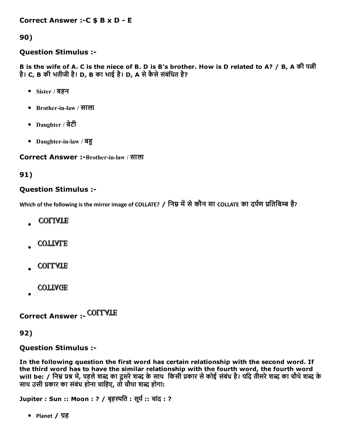Correct Answer :-C \$ B x D - E

90)

#### Question Stimulus :

B is the wife of A. C is the niece of B. D is B's brother. How is D related to A? / B, A की पत्नी है। C, B की भतीजी है। D, B का भाई है। D, A से कैसे संबंधित है?

- Sister / बहन
- Brotherinlaw / साला
- Daughter / बेटी
- Daughter-in-law / बहु

Correct Answer :-Brother-in-law / साला

91)

#### Question Stimulus :

Which of the following is the mirror image of COLLATE? / निम्न में से कौन सा COLLATE का दर्पण प्रतिबिम्ब है?

- **COLIATE**
- **COTTALE**
- **COLLATE**
- **COTTAGE**

Correct Answer :

92)

#### Question Stimulus :

In the following question the first word has certain relationship with the second word. If the third word has to have the similar relationship with the fourth word, the fourth word will be: / निम्न प्रश्न में, पहले शब्द का दूसरे शब्द के साथ किसी प्रकार से कोई संबंध है। यदि तीसरे शब्द का चौथे शब्द के साथ उसी प्रकार का संबंध होना चाहिए, तो चौथा शब्द होगा:

Jupiter : Sun :: Moon : ? / बृहस्पति : सूर्य :: चांद : ?

• Planet / ग्रह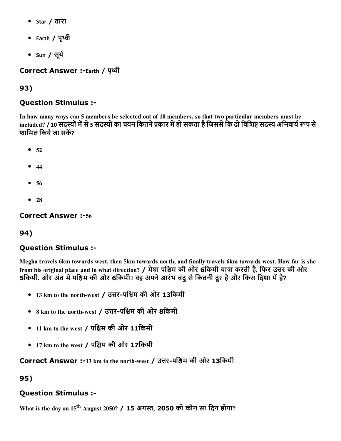- Star / तारा
- Earth / पृथ्वी
- Sun / सूर्य

Correct Answer :-Earth / पृथ्वी

# 93)

## Question Stimulus :

In how many ways can 5 members be selected out of 10 members, so that two particular members must be included? / 10 सदस्यों में से 5 सदस्यों का चयन कितने प्रकार में हो सकता है जिससे कि दो विशिष्ट सदस्य अनिवार्य रूप से शामिल किये जा सकें?

- $52$
- $44$
- $56$
- $28$

#### **Correct Answer :-56**

# 94)

# Question Stimulus :

Megha travels 6km towards west, then 5km towards north, and finally travels 6km towards west. How far is she from his original place and in what direction? / मेघा पश्चिम की ओर 6किमी यात्रा करती है, फिर उत्तर की ओर 5किमी, और अंत में पश्चिम की ओर 6किमी। वह अपने आरंभ बंदु से कितनी दूर है और किस दिशा में है?

- 13 km to the north-west / उत्तर-पश्चिम की ओर 13किमी
- 8 km to the north-west / उत्तर-पश्चिम की ओर 8किमी
- 11 km to the west / पश्चिम की ओर  $11$ किमी
- $17 \text{ km}$  to the west / पश्चिम की ओर  $17$ किमी

Correct Answer :-13 km to the north-west / उत्तर-पश्चिम की ओर 13किमी

95)

# Question Stimulus :

What is the day on 15<sup>th</sup> August 2050? / 15 अगस्त, 2050 को कौन सा दिन होगा?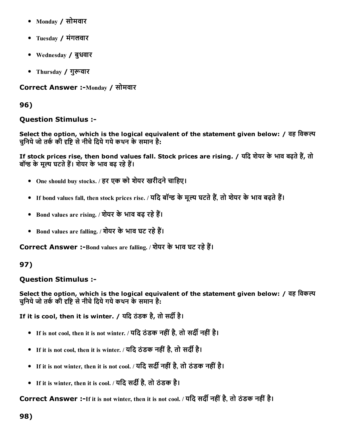- Monday / सोमवार
- Tuesday / मंगलवार
- Wednesday / बुधवार
- Thursday / गुरूवार

Correct Answer :-Monday / सोमवार

96)

## Question Stimulus :

Select the option, which is the logical equivalent of the statement given below: / वह विकल्प चनिये जो तर्क की दृष्टि से नीचे दिये गये कथन के समान है:

If stock prices rise, then bond values fall. Stock prices are rising. / यदि शेयर के भाव बढ़ते हैं, तो बॉन्ड के मूल्य घटते हैं। शेयर के भाव बढ़ रहे हैं।

- One should buy stocks. / हर एक को शेयर खरीदने चाहिए।
- If bond values fall, then stock prices rise. / यदि बॉन्ड के मूल्य घटते हैं, तो शेयर के भाव बढते हैं।
- Bond values are rising. / शेयर के भाव बढ़ रहे हैं।
- Bond values are falling. / शेयर के भाव घट रहे हैं।

Correct Answer :-Bond values are falling. / शेयर के भाव घट रहे हैं।

# 97)

# Question Stimulus :

Select the option, which is the logical equivalent of the statement given below: / वह विकल्प चुनिये जो तर्क की दृष्टि से नीचे दिये गये कथन के समान है:

If it is cool, then it is winter. / यदि ठंडक है, तो सर्दी है।

- If is not cool, then it is not winter. / यदि ठंडक नहीं है, तो सर्दी नहीं है।
- If it is not cool, then it is winter. / यदि ठंडक नहीं है, तो सर्दी है।
- If it is not winter, then it is not cool. / यदि सर्दी नहीं है, तो ठंडक नहीं है।
- If it is winter, then it is cool. / यदि सर्दी है, तो ठंडक है।

Correct Answer :-If it is not winter, then it is not cool. / यदि सर्दी नहीं है, तो ठंडक नहीं है।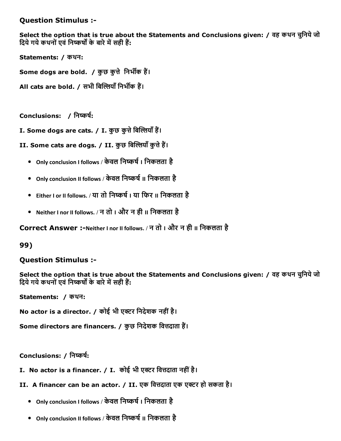#### Question Stimulus :

Select the option that is true about the Statements and Conclusions given: / वह कथन चुिनयेजो दिये गये कथनों एवं निष्कर्षों के बारे में सही हैं:

Statements: / कथन:

Some dogs are bold. / कुछ कुत्ते निर्भीक हैं।

All cats are bold. / सभी बिल्लियाँ निर्भीक हैं।

Conclusions: / निष्कर्ष:

I. Some dogs are cats. / I. कुछ कुत्ते बिल्लियाँ हैं।

II. Some cats are dogs. / II. कुछ बिल्लियाँ कुत्ते हैं।

- Only conclusion I follows / केवल निष्कर्ष । निकलता है
- Only conclusion II follows / केवल निष्कर्ष II निकलता है
- Either I or II follows. / या तो निष्कर्ष I या फिर II निकलता है
- Neither I nor II follows. / न तो I और न ही II िनकलता है

Correct Answer :-Neither I nor II follows. / न तो । और न ही II निकलता है

#### 99)

#### Question Stimulus :

Select the option that is true about the Statements and Conclusions given: / वह कथन चुनिये जो दिये गये कथनों एवं निष्कर्षों के बारे में सही हैं:

Statements: / कथन:

No actor is a director. / कोई भी एक्टर निदेशक नहीं है।

Some directors are financers. / कुछ निदेशक वित्तदाता हैं।

Conclusions: / निष्कर्ष:

- I. No actor is a financer. / I. कोई भी एक्टर वित्तदाता नहीं है।
- II. A financer can be an actor. / II. एक वित्तदाता एक एक्टर हो सकता है।
	- Only conclusion I follows / केवल निष्कर्ष । निकलता है
	- Only conclusion II follows / केवल निष्कर्ष II निकलता है